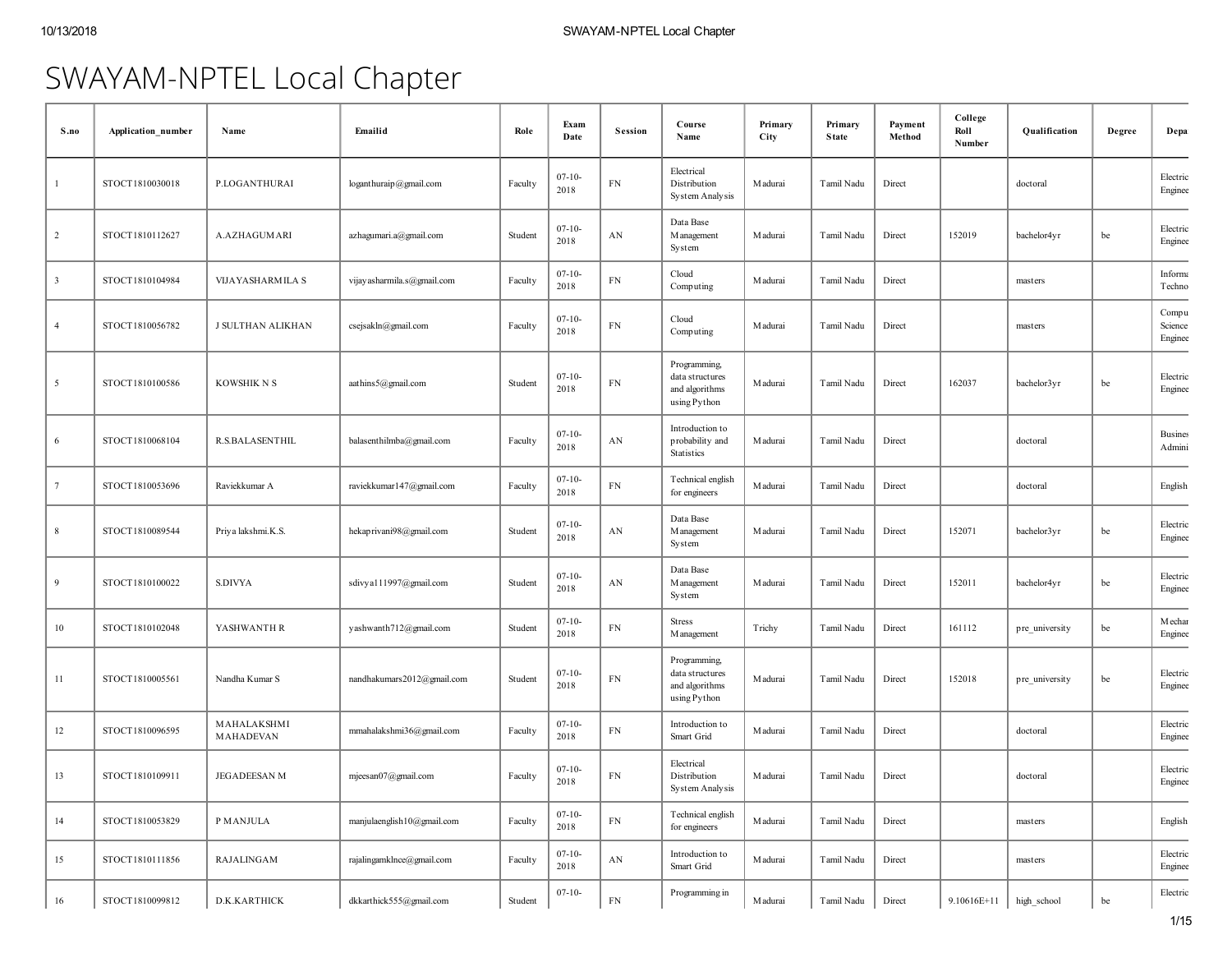# SWAYAM-NPTEL Local Chapter

| S.no           | Application number | Name                     | Emailid                     | Role    | Exam<br>Date        | <b>Session</b> | Course<br>Name                                                    | Primary<br>City | Primary<br><b>State</b> | Payment<br>Method | College<br>Roll<br>Number | Qualification  | Degree | Depa                        |
|----------------|--------------------|--------------------------|-----------------------------|---------|---------------------|----------------|-------------------------------------------------------------------|-----------------|-------------------------|-------------------|---------------------------|----------------|--------|-----------------------------|
| -1             | STOCT1810030018    | P.LOGANTHURAI            | loganthuraip@gmail.com      | Faculty | $07 - 10 -$<br>2018 | FN             | Electrical<br>Distribution<br>System Analysis                     | M adurai        | Tamil Nadu              | Direct            |                           | doctoral       |        | Electric<br>Enginee         |
| $\overline{2}$ | STOCT1810112627    | A.AZHAGUMARI             | azhagumari.a@gmail.com      | Student | $07 - 10 -$<br>2018 | AN             | Data Base<br>M anagement<br>System                                | M adurai        | Tamil Nadu              | Direct            | 152019                    | bachelor4yr    | be     | Electric<br>Enginee         |
| $\overline{3}$ | STOCT1810104984    | VIJAYASHARMILA S         | vijay asharmila.s@gmail.com | Faculty | $07 - 10 -$<br>2018 | ${\rm FN}$     | Cloud<br>Computing                                                | M adurai        | Tamil Nadu              | Direct            |                           | masters        |        | Informa<br>Techno           |
| $\overline{4}$ | STOCT1810056782    | J SULTHAN ALIKHAN        | csejsakln@gmail.com         | Faculty | $07 - 10 -$<br>2018 | ${\rm FN}$     | Cloud<br>Computing                                                | M adurai        | Tamil Nadu              | Direct            |                           | masters        |        | Compu<br>Science<br>Enginee |
| 5              | STOCT1810100586    | KOWSHIK N S              | aathins5@gmail.com          | Student | $07 - 10 -$<br>2018 | ${\rm FN}$     | Programming,<br>data structures<br>and algorithms<br>using Python | M adurai        | Tamil Nadu              | Direct            | 162037                    | bachelor3yr    | be     | Electric<br>Enginee         |
| 6              | STOCT1810068104    | <b>R.S.BALASENTHIL</b>   | balasenthilmba@gmail.com    | Faculty | $07 - 10 -$<br>2018 | AN             | Introduction to<br>probability and<br>Statistics                  | M adurai        | Tamil Nadu              | Direct            |                           | doctoral       |        | <b>Busines</b><br>Admini    |
| $\overline{7}$ | STOCT1810053696    | Raviekkumar A            | raviekkumar147@gmail.com    | Faculty | $07 - 10 -$<br>2018 | ${\rm FN}$     | Technical english<br>for engineers                                | M adurai        | Tamil Nadu              | Direct            |                           | doctoral       |        | English                     |
| 8              | STOCT1810089544    | Priya lakshmi.K.S.       | hekaprivani98@gmail.com     | Student | $07 - 10 -$<br>2018 | AN             | Data Base<br>M anagement<br>System                                | M adurai        | Tamil Nadu              | Direct            | 152071                    | bachelor3yr    | be     | Electric<br>Enginee         |
| 9              | STOCT1810100022    | S.DIVYA                  | sdivya111997@gmail.com      | Student | $07 - 10 -$<br>2018 | AN             | Data Base<br>M anagement<br>System                                | M adurai        | Tamil Nadu              | Direct            | 152011                    | bachelor4yr    | be     | Electric<br>Enginee         |
| 10             | STOCT1810102048    | YASHWANTH R              | yashwanth712@gmail.com      | Student | $07 - 10 -$<br>2018 | ${\rm FN}$     | <b>Stress</b><br>M anagement                                      | Trichy          | Tamil Nadu              | Direct            | 161112                    | pre_university | be     | Mechar<br>Enginee           |
| 11             | STOCT1810005561    | Nandha Kumar S           | nandhakumars2012@gmail.com  | Student | $07 - 10 -$<br>2018 | ${\rm FN}$     | Programming,<br>data structures<br>and algorithms<br>using Python | M adurai        | Tamil Nadu              | Direct            | 152018                    | pre_university | be     | Electric<br>Enginee         |
| 12             | STOCT1810096595    | MAHALAKSHMI<br>MAHADEVAN | mmahalakshmi36@gmail.com    | Faculty | $07 - 10 -$<br>2018 | ${\rm FN}$     | Introduction to<br>Smart Grid                                     | M adurai        | Tamil Nadu              | Direct            |                           | doctoral       |        | Electric<br>Enginee         |
| 13             | STOCT1810109911    | JEGADEESAN M             | mjeesan07@gmail.com         | Faculty | $07 - 10 -$<br>2018 | ${\rm FN}$     | Electrical<br>Distribution<br>System Analysis                     | M adurai        | Tamil Nadu              | Direct            |                           | doctoral       |        | Electric<br>Enginee         |
| 14             | STOCT1810053829    | P MANJULA                | manjulaenglish10@gmail.com  | Faculty | $07 - 10 -$<br>2018 | ${\rm FN}$     | Technical english<br>for engineers                                | M adurai        | Tamil Nadu              | Direct            |                           | masters        |        | English                     |
| 15             | STOCT1810111856    | RAJALINGAM               | rajalingamklnce@gmail.com   | Faculty | $07 - 10 -$<br>2018 | AN             | Introduction to<br>Smart Grid                                     | M adurai        | Tamil Nadu              | Direct            |                           | masters        |        | Electric<br>Enginee         |
| 16             | STOCT1810099812    | D.K.KARTHICK             | dkkarthick555@gmail.com     | Student | $07 - 10 -$         | ${\rm FN}$     | Programming in                                                    | Madurai         | Tamil Nadu              | Direct            | 9.10616E+11               | high_school    | be     | Electric                    |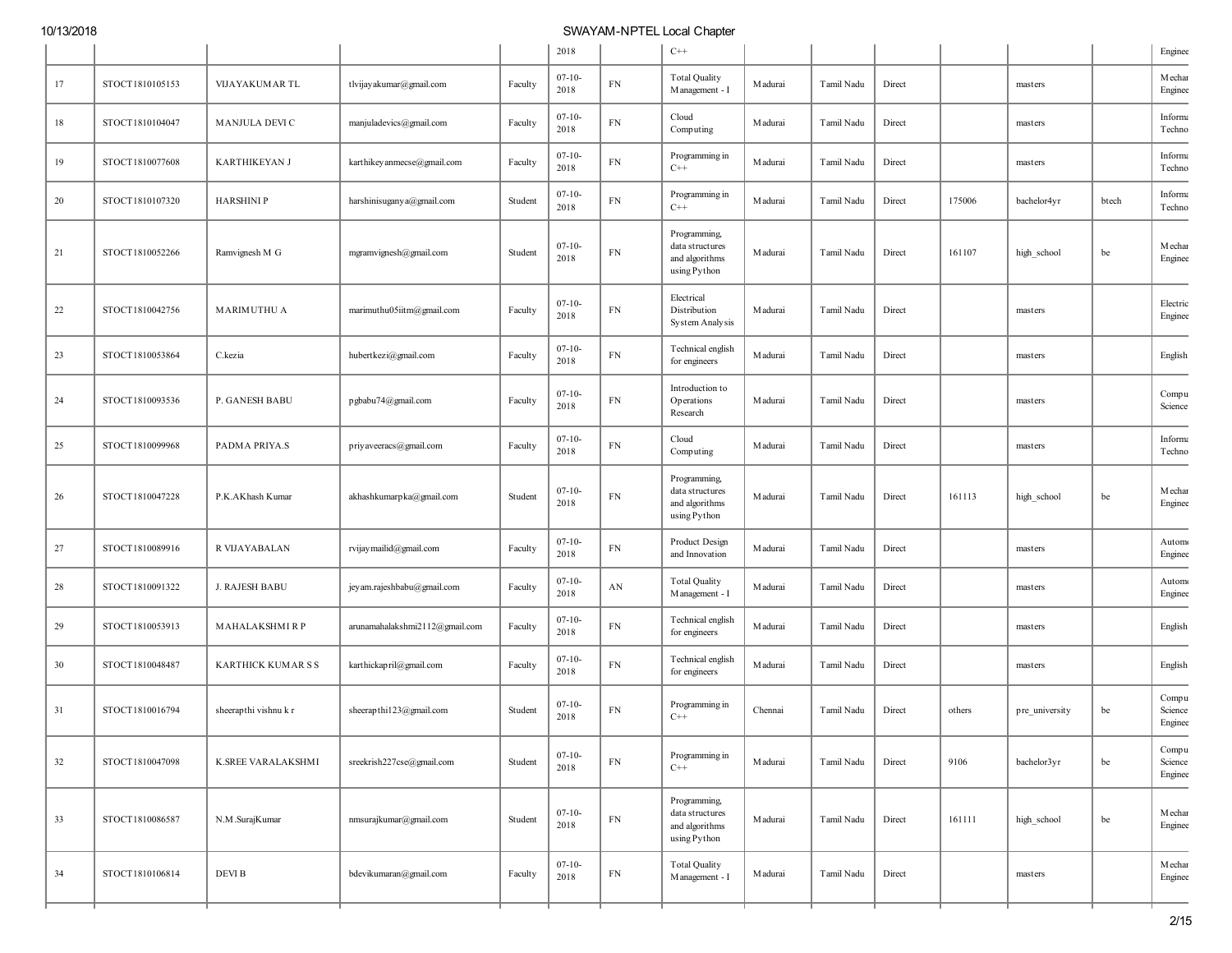|        |                 |                       |                                |         | 2018                |            | $C++$                                                             |          |            |        |        |                |       | Enginee                     |
|--------|-----------------|-----------------------|--------------------------------|---------|---------------------|------------|-------------------------------------------------------------------|----------|------------|--------|--------|----------------|-------|-----------------------------|
| 17     | STOCT1810105153 | VIJAYAKUMAR TL        | tlvijay akumar@gmail.com       | Faculty | $07 - 10 -$<br>2018 | ${\rm FN}$ | <b>Total Quality</b><br>Management - I                            | M adurai | Tamil Nadu | Direct |        | masters        |       | Mechar<br>Enginee           |
| $18\,$ | STOCT1810104047 | <b>MANJULA DEVI C</b> | manjuladevics@gmail.com        | Faculty | $07-10-$<br>2018    | ${\rm FN}$ | Cloud<br>Computing                                                | M adurai | Tamil Nadu | Direct |        | masters        |       | Informa<br>Techno           |
| 19     | STOCT1810077608 | <b>KARTHIKEYAN J</b>  | karthikey anmecse@gmail.com    | Faculty | $07-10-$<br>2018    | ${\rm FN}$ | Programming in<br>$C++$                                           | M adurai | Tamil Nadu | Direct |        | masters        |       | Informa<br>Techno           |
| 20     | STOCT1810107320 | <b>HARSHINIP</b>      | harshinisuganya@gmail.com      | Student | $07-10-$<br>2018    | ${\rm FN}$ | Programming in<br>$C++$                                           | M adurai | Tamil Nadu | Direct | 175006 | bachelor4yr    | btech | Informa<br>Techno           |
| 21     | STOCT1810052266 | Ramvignesh M G        | mgramvignesh@gmail.com         | Student | $07-10-$<br>2018    | ${\rm FN}$ | Programming,<br>data structures<br>and algorithms<br>using Python | M adurai | Tamil Nadu | Direct | 161107 | high_school    | be    | Mechar<br>Enginee           |
| 22     | STOCT1810042756 | <b>MARIMUTHU A</b>    | marimuthu05iitm@gmail.com      | Faculty | $07-10-$<br>2018    | ${\rm FN}$ | Electrical<br>Distribution<br>System Analysis                     | M adurai | Tamil Nadu | Direct |        | masters        |       | Electric<br>Enginee         |
| 23     | STOCT1810053864 | C.kezia               | hubertkezi@gmail.com           | Faculty | $07 - 10 -$<br>2018 | ${\rm FN}$ | Technical english<br>for engineers                                | M adurai | Tamil Nadu | Direct |        | masters        |       | English                     |
| 24     | STOCT1810093536 | P. GANESH BABU        | pgbabu74@gmail.com             | Faculty | $07-10-$<br>2018    | ${\rm FN}$ | Introduction to<br>Operations<br>Research                         | M adurai | Tamil Nadu | Direct |        | masters        |       | Compu<br>Science            |
| 25     | STOCT1810099968 | PADMA PRIYA.S         | priyaveeracs@gmail.com         | Faculty | $07-10-$<br>2018    | ${\rm FN}$ | Cloud<br>Computing                                                | M adurai | Tamil Nadu | Direct |        | masters        |       | Informa<br>Techno           |
| 26     | STOCT1810047228 | P.K.AKhash Kumar      | akhashkumarpka@gmail.com       | Student | $07-10-$<br>2018    | ${\rm FN}$ | Programming<br>data structures<br>and algorithms<br>using Python  | M adurai | Tamil Nadu | Direct | 161113 | high_school    | be    | Mechar<br>Enginee           |
| 27     | STOCT1810089916 | R VIJAYABALAN         | rvijay mailid@gmail.com        | Faculty | $07-10-$<br>2018    | ${\rm FN}$ | Product Design<br>and Innovation                                  | M adurai | Tamil Nadu | Direct |        | masters        |       | Automo<br>Enginee           |
| 28     | STOCT1810091322 | <b>J. RAJESH BABU</b> | jey am.rajeshbabu@gmail.com    | Faculty | $07 - 10 -$<br>2018 | AN         | <b>Total Quality</b><br>Management - I                            | M adurai | Tamil Nadu | Direct |        | masters        |       | Automo<br>Enginee           |
| 29     | STOCT1810053913 | MAHALAKSHMIRP         | arunamahalakshmi2112@gmail.com | Faculty | $07 - 10 -$<br>2018 | ${\rm FN}$ | Technical english<br>for engineers                                | M adurai | Tamil Nadu | Direct |        | masters        |       | English                     |
| 30     | STOCT1810048487 | KARTHICK KUMAR S S    | karthickapril@gmail.com        | Faculty | $07-10-$<br>2018    | FN         | Technical english<br>for engineers                                | M adurai | Tamil Nadu | Direct |        | masters        |       | English                     |
| 31     | STOCT1810016794 | sheerapthi vishnu k r | sheerapthi123@gmail.com        | Student | $07 - 10 -$<br>2018 | ${\rm FN}$ | Programming in<br>$C++$                                           | Chennai  | Tamil Nadu | Direct | others | pre_university | be    | Compu<br>Science<br>Enginee |
| 32     | STOCT1810047098 | K.SREE VARALAKSHMI    | sreekrish227cse@gmail.com      | Student | $07-10-$<br>2018    | ${\rm FN}$ | Programming in<br>$C++$                                           | M adurai | Tamil Nadu | Direct | 9106   | bachelor3yr    | be    | Compu<br>Science<br>Enginee |
| 33     | STOCT1810086587 | N.M.SurajKumar        | nmsurajkumar@gmail.com         | Student | $07 - 10 -$<br>2018 | ${\rm FN}$ | Programming,<br>data structures<br>and algorithms<br>using Python | M adurai | Tamil Nadu | Direct | 161111 | high_school    | be    | Mechar<br>Enginee           |
| 34     | STOCT1810106814 | DEVI B                | bdevikumaran@gmail.com         | Faculty | $07 - 10 -$<br>2018 | ${\rm FN}$ | <b>Total Quality</b><br>Management - I                            | M adurai | Tamil Nadu | Direct |        | masters        |       | Mechar<br>Enginee           |
|        |                 |                       |                                |         |                     |            |                                                                   |          |            |        |        |                |       |                             |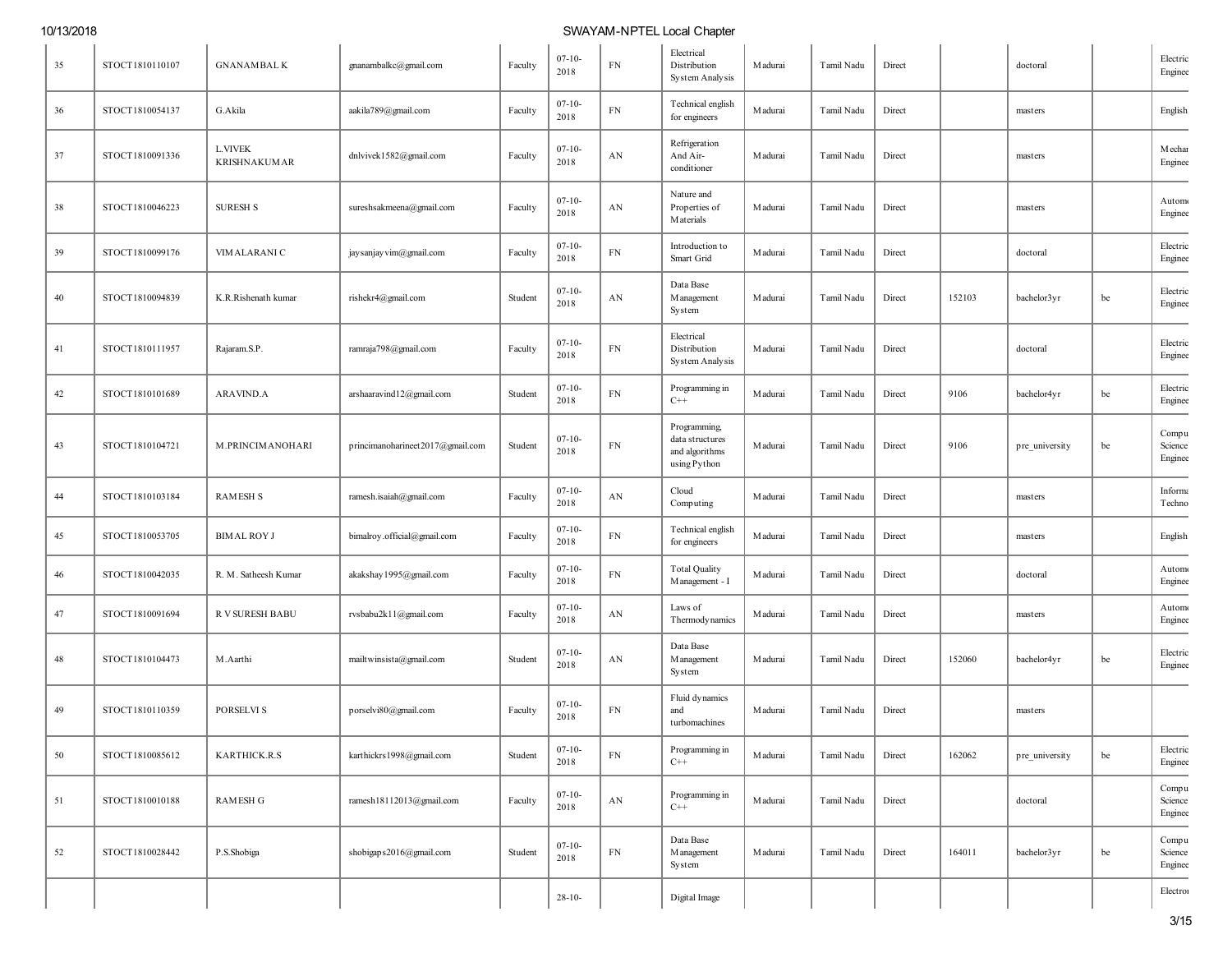| 35 | STOCT1810110107 | <b>GNANAMBALK</b>                     | gnanambalkc@gmail.com            | Faculty | $07-10-$<br>2018    | FN                     | Electrical<br>Distribution<br>System Analysis                    | Madurai  | Tamil Nadu | Direct |        | doctoral       |    | Electric<br>Enginee         |
|----|-----------------|---------------------------------------|----------------------------------|---------|---------------------|------------------------|------------------------------------------------------------------|----------|------------|--------|--------|----------------|----|-----------------------------|
| 36 | STOCT1810054137 | G.Akila                               | aakila789@gmail.com              | Faculty | $07 - 10 -$<br>2018 | ${\rm FN}$             | Technical english<br>for engineers                               | M adurai | Tamil Nadu | Direct |        | masters        |    | English                     |
| 37 | STOCT1810091336 | <b>L.VIVEK</b><br><b>KRISHNAKUMAR</b> | dnlvivek1582@gmail.com           | Faculty | $07 - 10 -$<br>2018 | AN                     | Refrigeration<br>And Air-<br>conditioner                         | Madurai  | Tamil Nadu | Direct |        | masters        |    | Mechar<br>Enginee           |
| 38 | STOCT1810046223 | <b>SURESH S</b>                       | sureshsakmeena@gmail.com         | Faculty | $07 - 10 -$<br>2018 | AN                     | Nature and<br>Properties of<br><b>M</b> aterials                 | Madurai  | Tamil Nadu | Direct |        | masters        |    | Automo<br>Enginee           |
| 39 | STOCT1810099176 | VIMALARANI C                          | jay sanjay vim@gmail.com         | Faculty | $07-10-$<br>2018    | ${\rm FN}$             | Introduction to<br>Smart Grid                                    | M adurai | Tamil Nadu | Direct |        | doctoral       |    | Electric<br>Enginee         |
| 40 | STOCT1810094839 | K.R.Rishenath kumar                   | rishekr4@gmail.com               | Student | $07-10-$<br>2018    | AN                     | Data Base<br>M anagement<br>System                               | Madurai  | Tamil Nadu | Direct | 152103 | bachelor3yr    | be | Electric<br>Enginee         |
| 41 | STOCT1810111957 | Rajaram.S.P.                          | ramraja798@gmail.com             | Faculty | $07-10-$<br>2018    | ${\rm FN}$             | Electrical<br>Distribution<br>System Analysis                    | M adurai | Tamil Nadu | Direct |        | doctoral       |    | Electric<br>Enginee         |
| 42 | STOCT1810101689 | <b>ARAVIND.A</b>                      | arshaaravind12@gmail.com         | Student | $07-10-$<br>2018    | FN                     | Programming in<br>$C++$                                          | Madurai  | Tamil Nadu | Direct | 9106   | bachelor4yr    | be | Electric<br>Enginee         |
| 43 | STOCT1810104721 | M.PRINCIMANOHARI                      | princimanoharineet2017@gmail.com | Student | $07-10-$<br>2018    | ${\rm FN}$             | Programming<br>data structures<br>and algorithms<br>using Python | Madurai  | Tamil Nadu | Direct | 9106   | pre_university | be | Compu<br>Science<br>Enginee |
| 44 | STOCT1810103184 | <b>RAMESH S</b>                       | ramesh.isaiah@gmail.com          | Faculty | $07-10-$<br>2018    | AN                     | Cloud<br>Computing                                               | Madurai  | Tamil Nadu | Direct |        | masters        |    | Informa<br>Techno           |
| 45 | STOCT1810053705 | <b>BIMAL ROY J</b>                    | bimalroy.official@gmail.com      | Faculty | $07-10-$<br>2018    | ${\rm FN}$             | Technical english<br>for engineers                               | Madurai  | Tamil Nadu | Direct |        | masters        |    | English                     |
| 46 | STOCT1810042035 | R. M. Satheesh Kumar                  | akakshay 1995@gmail.com          | Faculty | $07 - 10 -$<br>2018 | ${\rm FN}$             | <b>Total Quality</b><br>Management - I                           | M adurai | Tamil Nadu | Direct |        | doctoral       |    | Automo<br>Enginee           |
| 47 | STOCT1810091694 | R V SURESH BABU                       | rvsbabu2k11@gmail.com            | Faculty | $07 - 10 -$<br>2018 | AN                     | Laws of<br>Thermodynamics                                        | Madurai  | Tamil Nadu | Direct |        | masters        |    | Automo<br>Enginee           |
| 48 | STOCT1810104473 | M.Aarthi                              | mailtwinsista@gmail.com          | Student | $07-10-$<br>2018    | AN                     | Data Base<br>M anagement<br>System                               | Madurai  | Tamil Nadu | Direct | 152060 | bachelor4yr    | be | Electric<br>Enginee         |
| 49 | STOCT1810110359 | PORSELVI S                            | porselvi80@gmail.com             | Faculty | $07-10-$<br>2018    | ${\rm FN}$             | Fluid dynamics<br>and<br>turbomachines                           | Madurai  | Tamil Nadu | Direct |        | masters        |    |                             |
| 50 | STOCT1810085612 | KARTHICK.R.S                          | karthickrs1998@gmail.com         | Student | $07 - 10 -$<br>2018 | ${\rm FN}$             | Programming in<br>$C++$                                          | M adurai | Tamil Nadu | Direct | 162062 | pre_university | be | Electric<br>Enginee         |
| 51 | STOCT1810010188 | <b>RAMESH G</b>                       | ramesh18112013@gmail.com         | Faculty | $07 - 10 -$<br>2018 | $\mathbf{A}\mathbf{N}$ | Programming in<br>$C++$                                          | M adurai | Tamil Nadu | Direct |        | doctoral       |    | Compu<br>Science<br>Enginee |
| 52 | STOCT1810028442 | P.S.Shobiga                           | shobigaps2016@gmail.com          | Student | $07-10-$<br>2018    | ${\rm FN}$             | Data Base<br>M anagement<br>System                               | M adurai | Tamil Nadu | Direct | 164011 | bachelor3yr    | be | Compu<br>Science<br>Enginee |
|    |                 |                                       |                                  |         | $28 - 10 -$         |                        | Digital Image                                                    |          |            |        |        |                |    | Electron                    |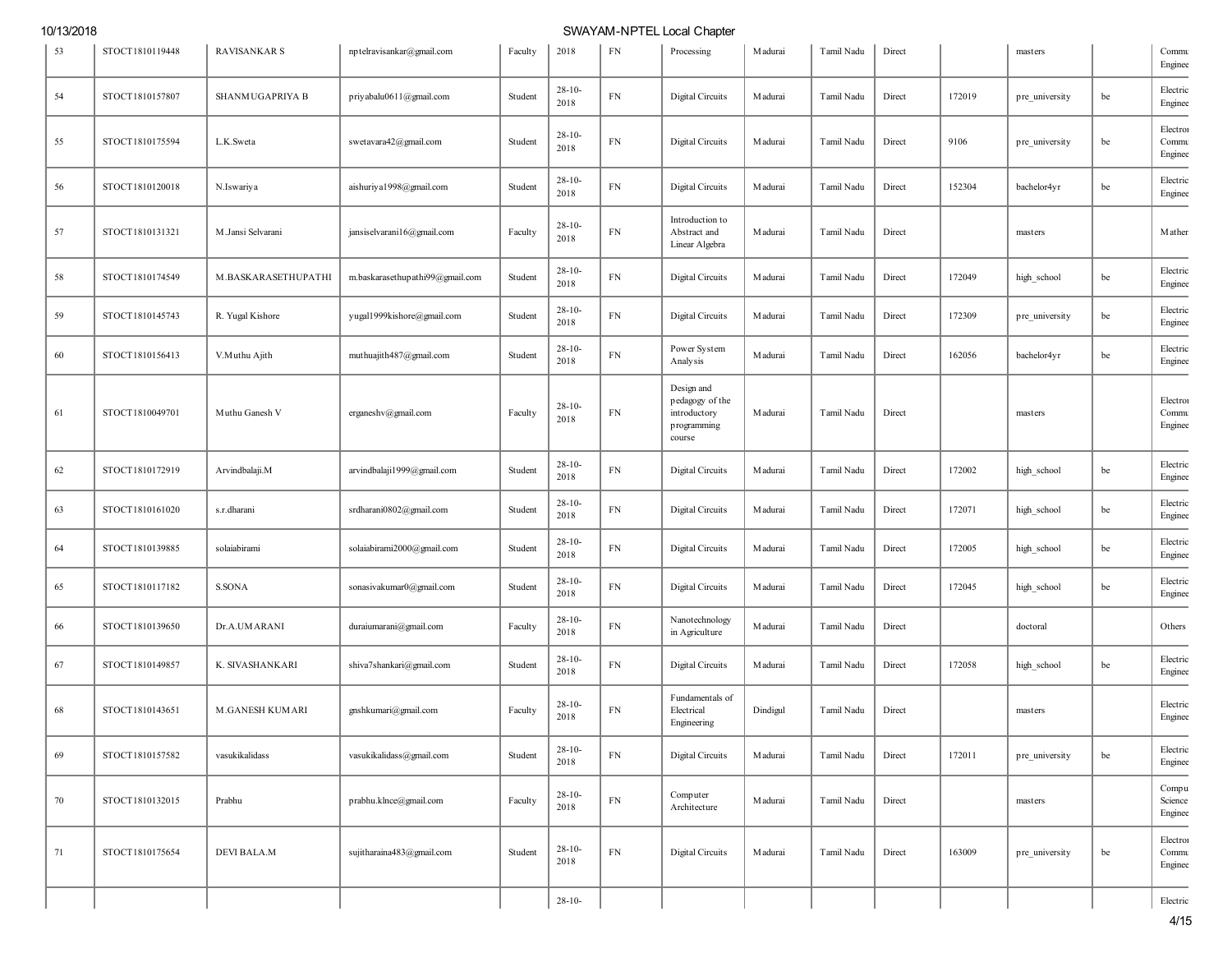| 53 | STOCT1810119448 | <b>RAVISANKAR S</b>    | nptelravisankar@gmail.com       | Faculty | 2018                | ${\rm FN}$ | Processing                                                             | M adurai        | Tamil Nadu | Direct |        | masters        |    | Commu<br>Enginee             |
|----|-----------------|------------------------|---------------------------------|---------|---------------------|------------|------------------------------------------------------------------------|-----------------|------------|--------|--------|----------------|----|------------------------------|
| 54 | STOCT1810157807 | SHANMUGAPRIYA B        | priyabalu0611@gmail.com         | Student | $28 - 10 -$<br>2018 | ${\rm FN}$ | Digital Circuits                                                       | M adurai        | Tamil Nadu | Direct | 172019 | pre_university | be | Electric<br>Enginee          |
| 55 | STOCT1810175594 | L.K.Sweta              | swetavara42@gmail.com           | Student | $28-10-$<br>2018    | $FN$       | Digital Circuits                                                       | <b>M</b> adurai | Tamil Nadu | Direct | 9106   | pre_university | be | Electron<br>Commu<br>Enginee |
| 56 | STOCT1810120018 | N.Iswariya             | aishuriya1998@gmail.com         | Student | $28 - 10 -$<br>2018 | FN         | Digital Circuits                                                       | <b>M</b> adurai | Tamil Nadu | Direct | 152304 | bachelor4yr    | be | Electric<br>Enginee          |
| 57 | STOCT1810131321 | M.Jansi Selvarani      | jansiselvarani16@gmail.com      | Faculty | $28 - 10 -$<br>2018 | ${\rm FN}$ | Introduction to<br>Abstract and<br>Linear Algebra                      | Madurai         | Tamil Nadu | Direct |        | masters        |    | Mathen                       |
| 58 | STOCT1810174549 | M.BASKARASETHUPATHI    | m.baskarasethupathi99@gmail.com | Student | $28 - 10 -$<br>2018 | ${\rm FN}$ | Digital Circuits                                                       | <b>M</b> adurai | Tamil Nadu | Direct | 172049 | high_school    | be | Electric<br>Enginee          |
| 59 | STOCT1810145743 | R. Yugal Kishore       | yugal1999kishore@gmail.com      | Student | $28 - 10 -$<br>2018 | ${\rm FN}$ | Digital Circuits                                                       | M adurai        | Tamil Nadu | Direct | 172309 | pre_university | be | Electric<br>Enginee          |
| 60 | STOCT1810156413 | V.Muthu Ajith          | muthuajith487@gmail.com         | Student | $28 - 10 -$<br>2018 | FN         | Power System<br>Analysis                                               | <b>M</b> adurai | Tamil Nadu | Direct | 162056 | bachelor4yr    | be | Electric<br>Enginee          |
| 61 | STOCT1810049701 | Muthu Ganesh V         | erganeshv@gmail.com             | Faculty | $28-10-$<br>2018    | $FN$       | Design and<br>pedagogy of the<br>introductory<br>programming<br>course | <b>M</b> adurai | Tamil Nadu | Direct |        | masters        |    | Electron<br>Commu<br>Enginee |
| 62 | STOCT1810172919 | Arvindbalaji.M         | arvindbalaji1999@gmail.com      | Student | $28 - 10 -$<br>2018 | ${\rm FN}$ | Digital Circuits                                                       | <b>M</b> adurai | Tamil Nadu | Direct | 172002 | high_school    | be | Electric<br>Enginee          |
| 63 | STOCT1810161020 | s.r.dharani            | srdharani0802@gmail.com         | Student | $28 - 10 -$<br>2018 | ${\rm FN}$ | Digital Circuits                                                       | <b>M</b> adurai | Tamil Nadu | Direct | 172071 | high_school    | be | Electric<br>Enginee          |
| 64 | STOCT1810139885 | solaiabirami           | solaiabirami2000@gmail.com      | Student | $28 - 10 -$<br>2018 | ${\rm FN}$ | Digital Circuits                                                       | <b>M</b> adurai | Tamil Nadu | Direct | 172005 | high_school    | be | Electric<br>Enginee          |
| 65 | STOCT1810117182 | <b>S.SONA</b>          | sonasivakumar0@gmail.com        | Student | $28 - 10 -$<br>2018 | ${\rm FN}$ | Digital Circuits                                                       | <b>M</b> adurai | Tamil Nadu | Direct | 172045 | high_school    | be | Electric<br>Enginee          |
| 66 | STOCT1810139650 | Dr.A.UMARANI           | duraiumarani@gmail.com          | Faculty | $28 - 10 -$<br>2018 | ${\rm FN}$ | Nanotechnology<br>in Agriculture                                       | M adurai        | Tamil Nadu | Direct |        | doctoral       |    | Others                       |
| 67 | STOCT1810149857 | K. SIVASHANKARI        | shiva7shankari@gmail.com        | Student | $28 - 10 -$<br>2018 | ${\rm FN}$ | Digital Circuits                                                       | Madurai         | Tamil Nadu | Direct | 172058 | high_school    | be | Electric<br>Enginee          |
| 68 | STOCT1810143651 | <b>M.GANESH KUMARI</b> | gnshkumari@gmail.com            | Faculty | $28 - 10 -$<br>2018 | ${\rm FN}$ | Fundamentals of<br>Electrical<br>Engineering                           | Dindigul        | Tamil Nadu | Direct |        | masters        |    | Electric<br>Enginee          |
| 69 | STOCT1810157582 | vasukikalidass         | vasukikalidass@gmail.com        | Student | $28 - 10 -$<br>2018 | ${\rm FN}$ | <b>Digital Circuits</b>                                                | <b>M</b> adurai | Tamil Nadu | Direct | 172011 | pre university | be | Electric<br>Enginee          |
| 70 | STOCT1810132015 | Prabhu                 | prabhu.klnce@gmail.com          | Faculty | $28 - 10 -$<br>2018 | ${\rm FN}$ | Computer<br>Architecture                                               | Madurai         | Tamil Nadu | Direct |        | masters        |    | Compu<br>Science<br>Enginee  |
| 71 | STOCT1810175654 | DEVI BALA.M            | sujitharaina483@gmail.com       | Student | $28-10-$<br>2018    | ${\rm FN}$ | Digital Circuits                                                       | Madurai         | Tamil Nadu | Direct | 163009 | pre university | be | Electron<br>Commu<br>Enginee |
|    |                 |                        |                                 |         | $28-10-$            |            |                                                                        |                 |            |        |        |                |    | Electric                     |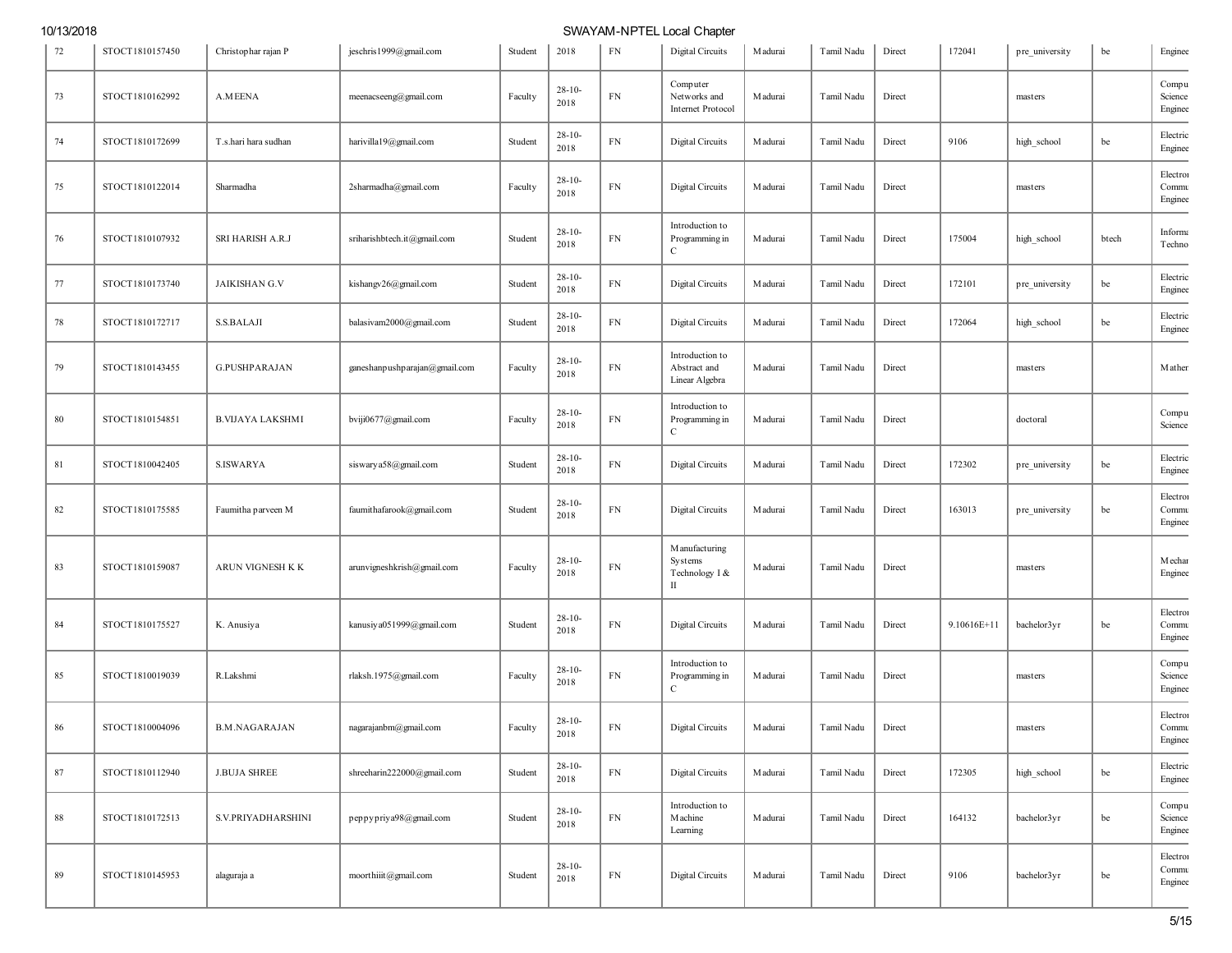| 72 | STOCT1810157450 | Christophar rajan P     | jeschris1999@gmail.com        | Student | 2018                | FN         | Digital Circuits                                  | <b>M</b> adurai | Tamil Nadu | Direct | 172041      | pre university | be    | Enginee                      |
|----|-----------------|-------------------------|-------------------------------|---------|---------------------|------------|---------------------------------------------------|-----------------|------------|--------|-------------|----------------|-------|------------------------------|
| 73 | STOCT1810162992 | A.MEENA                 | meenacseeng@gmail.com         | Faculty | $28 - 10 -$<br>2018 | FN         | Computer<br>Networks and<br>Internet Protocol     | M adurai        | Tamil Nadu | Direct |             | masters        |       | Compu<br>Science<br>Enginee  |
| 74 | STOCT1810172699 | T.s.hari hara sudhan    | harivilla19@gmail.com         | Student | $28 - 10 -$<br>2018 | ${\rm FN}$ | Digital Circuits                                  | Madurai         | Tamil Nadu | Direct | 9106        | high_school    | be    | Electric<br>Enginee          |
| 75 | STOCT1810122014 | Sharmadha               | 2sharmadha@gmail.com          | Faculty | $28 - 10 -$<br>2018 | ${\rm FN}$ | Digital Circuits                                  | M adurai        | Tamil Nadu | Direct |             | masters        |       | Electron<br>Commu<br>Enginee |
| 76 | STOCT1810107932 | SRI HARISH A.R.J        | sriharishbtech.it@gmail.com   | Student | $28 - 10 -$<br>2018 | ${\rm FN}$ | Introduction to<br>Programming in<br>С            | M adurai        | Tamil Nadu | Direct | 175004      | high_school    | btech | Informa<br>Techno            |
| 77 | STOCT1810173740 | <b>JAIKISHAN G.V</b>    | kishangv26@gmail.com          | Student | $28 - 10 -$<br>2018 | FN         | Digital Circuits                                  | M adurai        | Tamil Nadu | Direct | 172101      | pre_university | be    | Electric<br>Enginee          |
| 78 | STOCT1810172717 | <b>S.S.BALAJI</b>       | balasivam2000@gmail.com       | Student | $28 - 10 -$<br>2018 | ${\rm FN}$ | Digital Circuits                                  | M adurai        | Tamil Nadu | Direct | 172064      | high_school    | be    | Electric<br>Enginee          |
| 79 | STOCT1810143455 | <b>G.PUSHPARAJAN</b>    | ganeshanpushparajan@gmail.com | Faculty | $28 - 10 -$<br>2018 | ${\rm FN}$ | Introduction to<br>Abstract and<br>Linear Algebra | M adurai        | Tamil Nadu | Direct |             | masters        |       | Mathen                       |
| 80 | STOCT1810154851 | <b>B.VIJAYA LAKSHMI</b> | bviji0677@gmail.com           | Faculty | $28 - 10 -$<br>2018 | FN         | Introduction to<br>Programming in<br>C            | M adurai        | Tamil Nadu | Direct |             | doctoral       |       | Compu<br>Science             |
| 81 | STOCT1810042405 | <b>S.ISWARYA</b>        | siswarya58@gmail.com          | Student | $28 - 10 -$<br>2018 | ${\rm FN}$ | Digital Circuits                                  | <b>M</b> adurai | Tamil Nadu | Direct | 172302      | pre_university | be    | Electric<br>Enginee          |
| 82 | STOCT1810175585 | Faumitha parveen M      | faumithafarook@gmail.com      | Student | $28 - 10 -$<br>2018 | ${\rm FN}$ | Digital Circuits                                  | M adurai        | Tamil Nadu | Direct | 163013      | pre_university | be    | Electron<br>Commu<br>Enginee |
| 83 | STOCT1810159087 | ARUN VIGNESH K K        | arunvigneshkrish@gmail.com    | Faculty | $28 - 10 -$<br>2018 | ${\rm FN}$ | M anufacturing<br>Systems<br>Technology I &<br>П  | M adurai        | Tamil Nadu | Direct |             | masters        |       | Mechar<br>Enginee            |
| 84 | STOCT1810175527 | K. Anusiya              | kanusiya051999@gmail.com      | Student | $28 - 10 -$<br>2018 | ${\rm FN}$ | Digital Circuits                                  | Madurai         | Tamil Nadu | Direct | 9.10616E+11 | bachelor3yr    | be    | Electron<br>Commu<br>Enginee |
| 85 | STOCT1810019039 | R.Lakshmi               | rlaksh.1975@gmail.com         | Faculty | $28 - 10 -$<br>2018 | ${\rm FN}$ | Introduction to<br>Programming in<br>С            | M adurai        | Tamil Nadu | Direct |             | masters        |       | Compu<br>Science<br>Enginee  |
| 86 | STOCT1810004096 | <b>B.M.NAGARAJAN</b>    | nagarajanbm@gmail.com         | Faculty | $28-10-$<br>2018    | ${\rm FN}$ | <b>Digital Circuits</b>                           | <b>M</b> adurai | Tamil Nadu | Direct |             | masters        |       | Electron<br>Commu<br>Enginee |
| 87 | STOCT1810112940 | <b>J.BUJA SHREE</b>     | shreeharin222000@gmail.com    | Student | $28 - 10 -$<br>2018 | ${\rm FN}$ | Digital Circuits                                  | Madurai         | Tamil Nadu | Direct | 172305      | high_school    | be    | Electric<br>Enginee          |
| 88 | STOCT1810172513 | S.V.PRIYADHARSHINI      | peppypriya98@gmail.com        | Student | $28 - 10 -$<br>2018 | ${\rm FN}$ | Introduction to<br>Machine<br>Learning            | M adurai        | Tamil Nadu | Direct | 164132      | bachelor3yr    | be    | Compu<br>Science<br>Enginee  |
| 89 | STOCT1810145953 | alaguraja a             | moorthiiit@gmail.com          | Student | $28 - 10 -$<br>2018 | ${\rm FN}$ | Digital Circuits                                  | Madurai         | Tamil Nadu | Direct | 9106        | bachelor3yr    | be    | Electron<br>Commu<br>Enginee |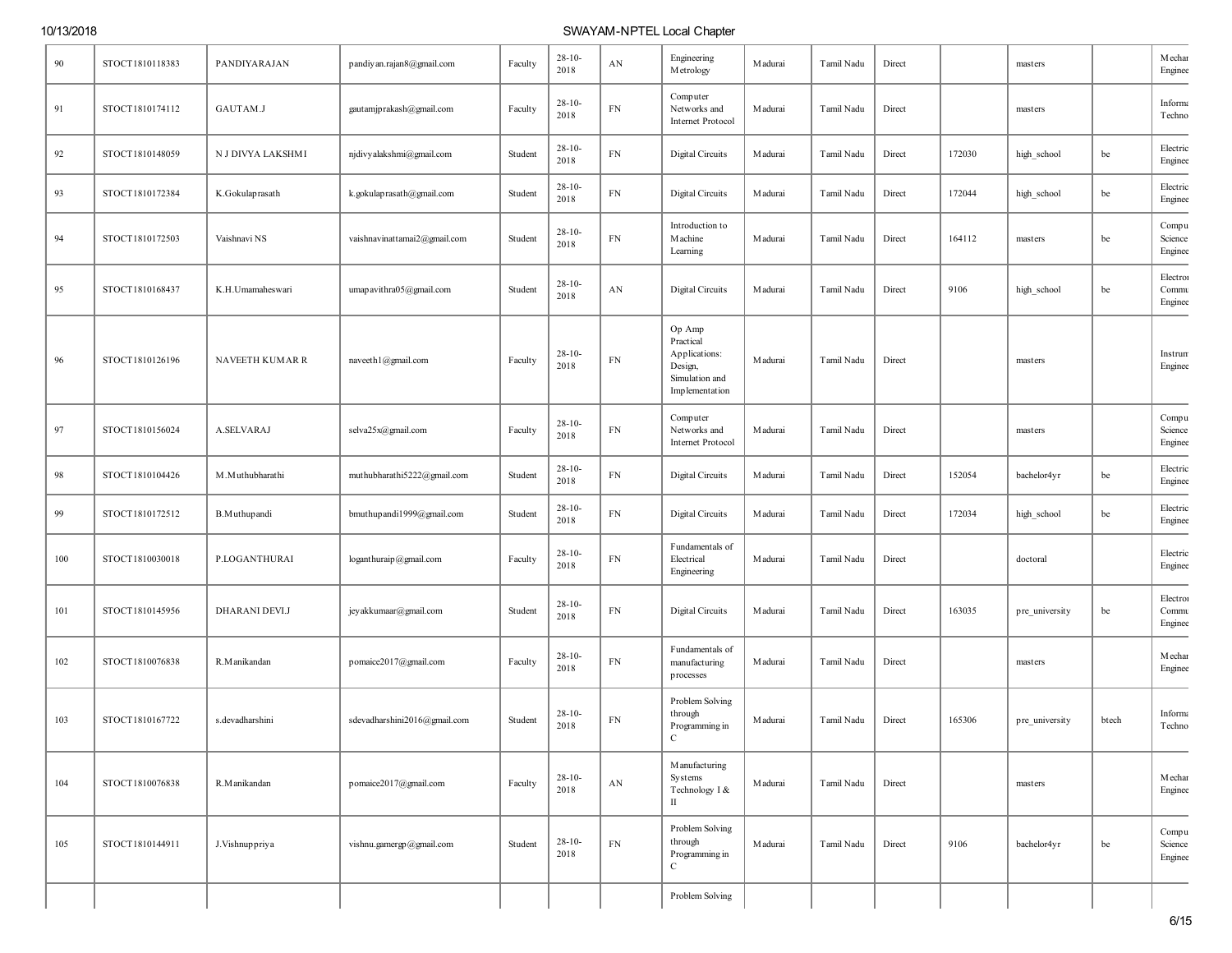| 90  | STOCT1810118383 | PANDIYARAJAN      | pandiyan.rajan8@gmail.com    | Faculty | $28 - 10 -$<br>2018 | AN                     | Engineering<br>Metrology                                                            | <b>M</b> adurai | Tamil Nadu | Direct |        | masters        |       | Mechar<br>Enginee            |
|-----|-----------------|-------------------|------------------------------|---------|---------------------|------------------------|-------------------------------------------------------------------------------------|-----------------|------------|--------|--------|----------------|-------|------------------------------|
| 91  | STOCT1810174112 | GAUTAM.J          | gautamjprakash@gmail.com     | Faculty | $28 - 10 -$<br>2018 | ${\rm FN}$             | Computer<br>Networks and<br>Internet Protocol                                       | Madurai         | Tamil Nadu | Direct |        | masters        |       | Informa<br>Techno            |
| 92  | STOCT1810148059 | N J DIVYA LAKSHMI | njdivyalakshmi@gmail.com     | Student | $28-10-$<br>2018    | ${\rm FN}$             | Digital Circuits                                                                    | <b>M</b> adurai | Tamil Nadu | Direct | 172030 | high_school    | be    | Electric<br>Enginee          |
| 93  | STOCT1810172384 | K.Gokulaprasath   | k.gokulaprasath@gmail.com    | Student | $28 - 10 -$<br>2018 | ${\rm FN}$             | Digital Circuits                                                                    | Madurai         | Tamil Nadu | Direct | 172044 | high_school    | be    | Electric<br>Enginee          |
| 94  | STOCT1810172503 | Vaishnavi NS      | vaishnavinattamai2@gmail.com | Student | $28-10-$<br>2018    | ${\rm FN}$             | Introduction to<br>Machine<br>Learning                                              | <b>M</b> adurai | Tamil Nadu | Direct | 164112 | masters        | be    | Compu<br>Science<br>Enginee  |
| 95  | STOCT1810168437 | K.H.Umamaheswari  | umapavithra05@gmail.com      | Student | $28-10-$<br>2018    | AN                     | Digital Circuits                                                                    | <b>M</b> adurai | Tamil Nadu | Direct | 9106   | high_school    | be    | Electron<br>Commu<br>Enginee |
| 96  | STOCT1810126196 | NAVEETH KUMAR R   | naveeth1@gmail.com           | Faculty | $28-10-$<br>2018    | ${\rm FN}$             | Op Amp<br>Practical<br>Applications:<br>Design,<br>Simulation and<br>Implementation | <b>M</b> adurai | Tamil Nadu | Direct |        | masters        |       | Instrum<br>Enginee           |
| 97  | STOCT1810156024 | A.SELVARAJ        | selva25x@gmail.com           | Faculty | $28-10-$<br>2018    | ${\rm FN}$             | Computer<br>Networks and<br>Internet Protocol                                       | <b>M</b> adurai | Tamil Nadu | Direct |        | masters        |       | Compu<br>Science<br>Enginee  |
| 98  | STOCT1810104426 | M.Muthubharathi   | muthubharathi5222@gmail.com  | Student | $28 - 10 -$<br>2018 | ${\rm FN}$             | Digital Circuits                                                                    | <b>M</b> adurai | Tamil Nadu | Direct | 152054 | bachelor4yr    | be    | Electric<br>Enginee          |
| 99  | STOCT1810172512 | B.Muthupandi      | bmuthup and i1999@gmail.com  | Student | $28 - 10 -$<br>2018 | ${\rm FN}$             | Digital Circuits                                                                    | <b>M</b> adurai | Tamil Nadu | Direct | 172034 | high_school    | be    | Electric<br>Enginee          |
| 100 | STOCT1810030018 | P.LOGANTHURAI     | loganthuraip@gmail.com       | Faculty | $28 - 10 -$<br>2018 | ${\rm FN}$             | Fundamentals of<br>Electrical<br>Engineering                                        | <b>M</b> adurai | Tamil Nadu | Direct |        | doctoral       |       | Electric<br>Enginee          |
| 101 | STOCT1810145956 | DHARANI DEVI.J    | jey akkumaar@gmail.com       | Student | $28 - 10 -$<br>2018 | ${\rm FN}$             | Digital Circuits                                                                    | <b>M</b> adurai | Tamil Nadu | Direct | 163035 | pre_university | be    | Electron<br>Commu<br>Enginee |
| 102 | STOCT1810076838 | R.Manikandan      | pomaice2017@gmail.com        | Faculty | $28-10-$<br>2018    | ${\rm FN}$             | Fundamentals of<br>manufacturing<br>processes                                       | <b>M</b> adurai | Tamil Nadu | Direct |        | masters        |       | <b>M</b> echar<br>Enginee    |
| 103 | STOCT1810167722 | s.devadharshini   | sdevadharshini2016@gmail.com | Student | $28 - 10 -$<br>2018 | ${\rm FN}$             | Problem Solving<br>through<br>Programming in<br>$\mathbf C$                         | Madurai         | Tamil Nadu | Direct | 165306 | pre_university | btech | Informa<br>Techno            |
| 104 | STOCT1810076838 | R.Manikandan      | pomaice2017@gmail.com        | Faculty | $28 - 10 -$<br>2018 | $\mathbf{A}\mathbf{N}$ | M anufacturing<br>Systems<br>Technology I &<br>$\scriptstyle\rm II$                 | Madurai         | Tamil Nadu | Direct |        | masters        |       | Mechar<br>Enginee            |
| 105 | STOCT1810144911 | J.Vishnuppriya    | vishnu.gamergp@gmail.com     | Student | $28-10-$<br>2018    | ${\rm FN}$             | Problem Solving<br>through<br>Programming in<br>$\mathbf C$                         | Madurai         | Tamil Nadu | Direct | 9106   | bachelor4yr    | be    | Compu<br>Science<br>Enginee  |
|     |                 |                   |                              |         |                     |                        | Problem Solving                                                                     |                 |            |        |        |                |       |                              |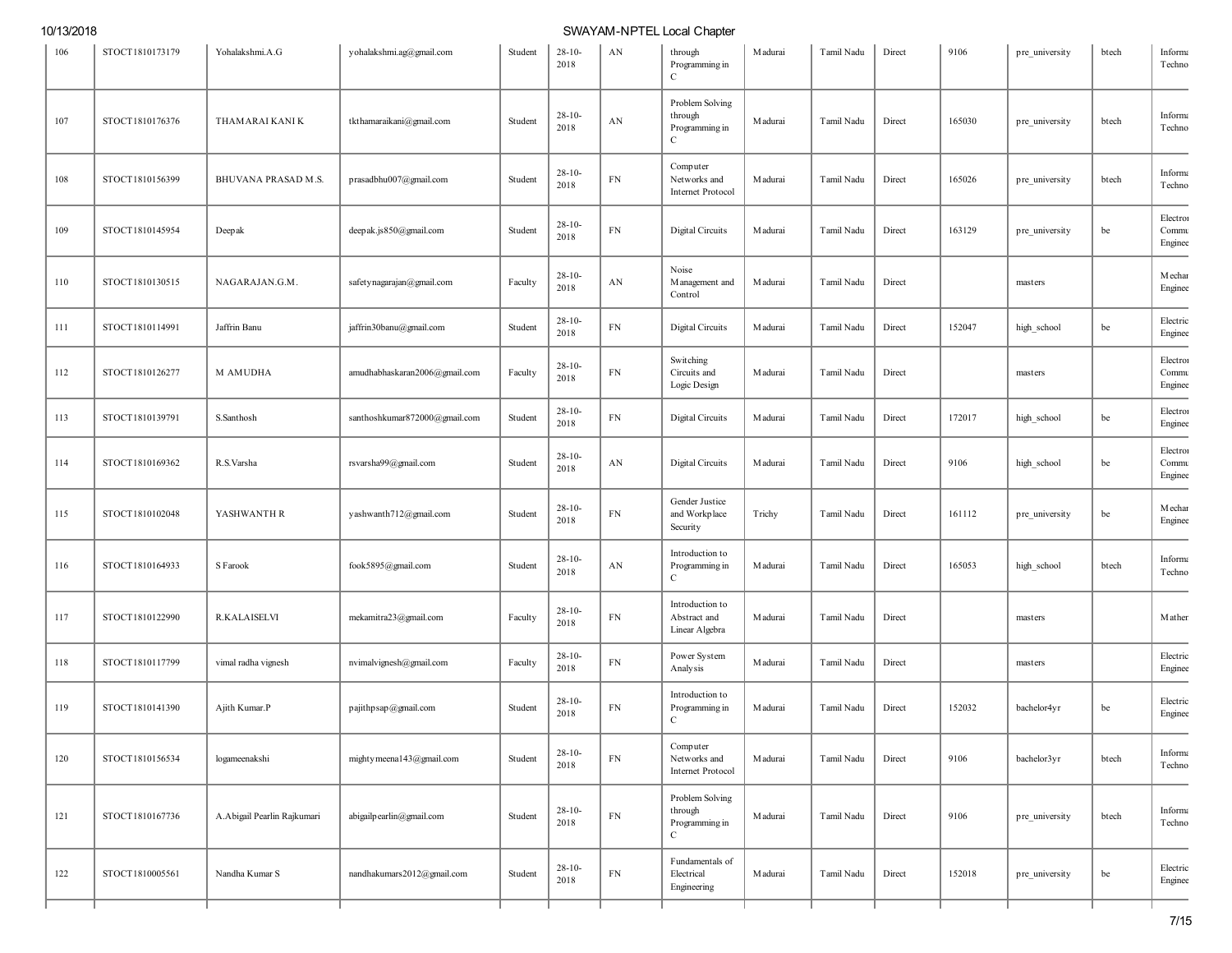| 106 | STOCT1810173179 | Yohalakshmi.A.G             | yohalakshmi.ag@gmail.com      | Student | $28-10-$<br>2018    | AN         | through<br>Programming in<br>$\mathbf C$                     | M adurai        | Tamil Nadu | Direct | 9106   | pre_university | btech | Informa<br>Techno            |
|-----|-----------------|-----------------------------|-------------------------------|---------|---------------------|------------|--------------------------------------------------------------|-----------------|------------|--------|--------|----------------|-------|------------------------------|
| 107 | STOCT1810176376 | THAMARAI KANI K             | tkthamaraikani@gmail.com      | Student | $28 - 10 -$<br>2018 | AN         | Problem Solving<br>through<br>Programming in<br>C            | <b>M</b> adurai | Tamil Nadu | Direct | 165030 | pre_university | btech | Informa<br>Techno            |
| 108 | STOCT1810156399 | BHUVANA PRASAD M.S.         | prasadbhu007@gmail.com        | Student | $28 - 10 -$<br>2018 | ${\rm FN}$ | Computer<br>Networks and<br>Internet Protocol                | Madurai         | Tamil Nadu | Direct | 165026 | pre_university | btech | Informa<br>Techno            |
| 109 | STOCT1810145954 | Deepak                      | deepak.js850@gmail.com        | Student | $28 - 10 -$<br>2018 | ${\rm FN}$ | Digital Circuits                                             | M adurai        | Tamil Nadu | Direct | 163129 | pre_university | be    | Electron<br>Commu<br>Enginee |
| 110 | STOCT1810130515 | NAGARAJAN.G.M               | safety nagarajan@gmail.com    | Faculty | $28 - 10 -$<br>2018 | AN         | Noise<br>M anagement and<br>Control                          | M adurai        | Tamil Nadu | Direct |        | masters        |       | Mechar<br>Enginee            |
| 111 | STOCT1810114991 | Jaffrin Banu                | jaffrin30banu@gmail.com       | Student | $28 - 10 -$<br>2018 | ${\rm FN}$ | Digital Circuits                                             | Madurai         | Tamil Nadu | Direct | 152047 | high_school    | be    | Electric<br>Enginee          |
| 112 | STOCT1810126277 | <b>M AMUDHA</b>             | amudhabhaskaran2006@gmail.com | Faculty | $28 - 10 -$<br>2018 | ${\rm FN}$ | Switching<br>Circuits and<br>Logic Design                    | <b>M</b> adurai | Tamil Nadu | Direct |        | masters        |       | Electron<br>Commu<br>Enginee |
| 113 | STOCT1810139791 | S.Santhosh                  | santhoshkumar872000@gmail.com | Student | $28 - 10 -$<br>2018 | ${\rm FN}$ | Digital Circuits                                             | M adurai        | Tamil Nadu | Direct | 172017 | high_school    | be    | Electron<br>Enginee          |
| 114 | STOCT1810169362 | R.S.Varsha                  | rsvarsha99@gmail.com          | Student | $28 - 10 -$<br>2018 | AN         | Digital Circuits                                             | M adurai        | Tamil Nadu | Direct | 9106   | high_school    | be    | Electron<br>Commu<br>Enginee |
| 115 | STOCT1810102048 | YASHWANTH R                 | yashwanth712@gmail.com        | Student | $28 - 10 -$<br>2018 | ${\rm FN}$ | Gender Justice<br>and Workplace<br>Security                  | Trichy          | Tamil Nadu | Direct | 161112 | pre_university | be    | Mechar<br>Enginee            |
| 116 | STOCT1810164933 | S Farook                    | fook5895@gmail.com            | Student | $28 - 10 -$<br>2018 | AN         | Introduction to<br>Programming in<br>$\mathbf C$             | M adurai        | Tamil Nadu | Direct | 165053 | high_school    | btech | Informa<br>Techno            |
| 117 | STOCT1810122990 | <b>R.KALAISELVI</b>         | mekamitra23@gmail.com         | Faculty | $28 - 10 -$<br>2018 | ${\rm FN}$ | Introduction to<br>Abstract and<br>Linear Algebra            | M adurai        | Tamil Nadu | Direct |        | masters        |       | Mathen                       |
| 118 | STOCT1810117799 | vimal radha vignesh         | nvimalvignesh@gmail.com       | Faculty | $28 - 10 -$<br>2018 | ${\rm FN}$ | Power System<br>Analysis                                     | Madurai         | Tamil Nadu | Direct |        | masters        |       | Electric<br>Enginee          |
| 119 | STOCT1810141390 | Ajith Kumar.P               | pajithpsap@gmail.com          | Student | $28 - 10 -$<br>2018 | ${\rm FN}$ | Introduction to<br>Programming in<br>$\mathbf C$             | M adurai        | Tamil Nadu | Direct | 152032 | bachelor4yr    | be    | Electric<br>Enginee          |
| 120 | STOCT1810156534 | logameenakshi               | mighty meena143@gmail.com     | Student | $28 - 10 -$<br>2018 | ${\rm FN}$ | Computer<br>Networks and<br><b>Internet Protocol</b>         | M adurai        | Tamil Nadu | Direct | 9106   | bachelor3yr    | btech | Informa<br>Techno            |
| 121 | STOCT1810167736 | A.Abigail Pearlin Rajkumari | abigailpearlin@gmail.com      | Student | $28 - 10 -$<br>2018 | ${\rm FN}$ | Problem Solving<br>through<br>Programming in<br>$\mathbf{C}$ | M adurai        | Tamil Nadu | Direct | 9106   | pre_university | btech | Informa<br>Techno            |
| 122 | STOCT1810005561 | Nandha Kumar S              | nandhakumars2012@gmail.com    | Student | $28 - 10 -$<br>2018 | ${\rm FN}$ | Fundamentals of<br>Electrical<br>Engineering                 | Madurai         | Tamil Nadu | Direct | 152018 | pre_university | be    | Electric<br>Enginee          |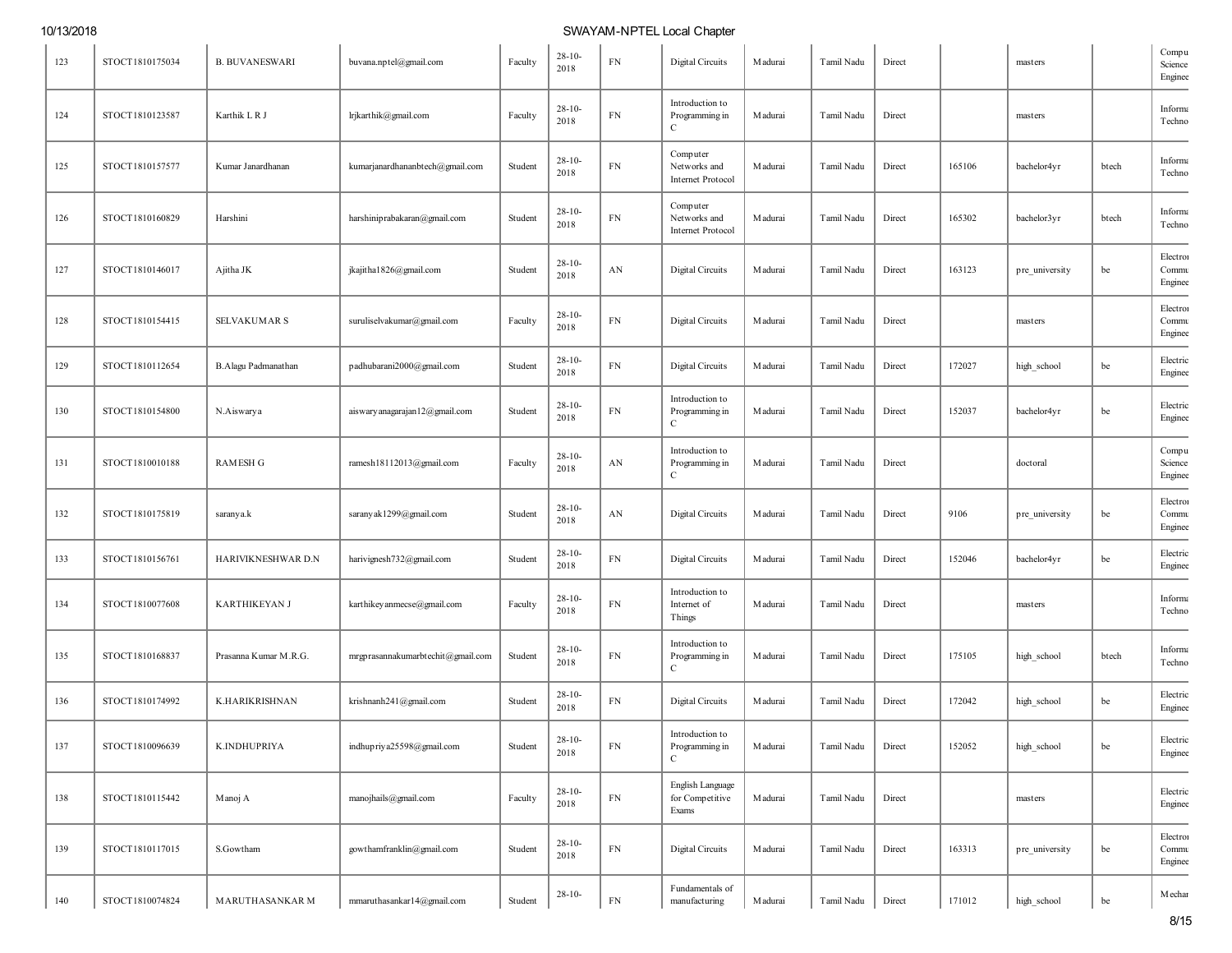| 123 | STOCT1810175034 | <b>B. BUVANESWARI</b> | buvana.nptel@gmail.com            | Faculty | $28 - 10 -$<br>2018 | ${\rm FN}$ | Digital Circuits                                     | M adurai        | Tamil Nadu | Direct |        | masters        |       | Compu<br>Science<br>Enginee  |
|-----|-----------------|-----------------------|-----------------------------------|---------|---------------------|------------|------------------------------------------------------|-----------------|------------|--------|--------|----------------|-------|------------------------------|
| 124 | STOCT1810123587 | Karthik L R J         | lrjkarthik@gmail.com              | Faculty | $28 - 10 -$<br>2018 | ${\rm FN}$ | Introduction to<br>Programming in<br>$\mathbf C$     | Madurai         | Tamil Nadu | Direct |        | masters        |       | Informa<br>Techno            |
| 125 | STOCT1810157577 | Kumar Janardhanan     | kumarjanardhananbtech@gmail.com   | Student | $28 - 10 -$<br>2018 | ${\rm FN}$ | Computer<br>Networks and<br><b>Internet Protocol</b> | Madurai         | Tamil Nadu | Direct | 165106 | bachelor4yr    | btech | Informa<br>Techno            |
| 126 | STOCT1810160829 | Harshini              | harshiniprabakaran@gmail.com      | Student | $28 - 10 -$<br>2018 | ${\rm FN}$ | Computer<br>Networks and<br>Internet Protocol        | Madurai         | Tamil Nadu | Direct | 165302 | bachelor3yr    | btech | Informa<br>Techno            |
| 127 | STOCT1810146017 | Ajitha JK             | jkajitha1826@gmail.com            | Student | $28 - 10 -$<br>2018 | AN         | Digital Circuits                                     | Madurai         | Tamil Nadu | Direct | 163123 | pre_university | be    | Electron<br>Commu<br>Enginee |
| 128 | STOCT1810154415 | <b>SELVAKUMAR S</b>   | suruliselvakumar@gmail.com        | Faculty | $28 - 10 -$<br>2018 | ${\rm FN}$ | <b>Digital Circuits</b>                              | Madurai         | Tamil Nadu | Direct |        | masters        |       | Electron<br>Commu<br>Enginee |
| 129 | STOCT1810112654 | B.Alagu Padmanathan   | padhubarani2000@gmail.com         | Student | $28 - 10 -$<br>2018 | ${\rm FN}$ | Digital Circuits                                     | Madurai         | Tamil Nadu | Direct | 172027 | high_school    | be    | Electric<br>Enginee          |
| 130 | STOCT1810154800 | N.Aiswarya            | aiswary anagarajan12@gmail.com    | Student | $28 - 10 -$<br>2018 | ${\rm FN}$ | Introduction to<br>Programming in<br>$\mathbf C$     | M adurai        | Tamil Nadu | Direct | 152037 | bachelor4yr    | be    | Electric<br>Enginee          |
| 131 | STOCT1810010188 | <b>RAMESH G</b>       | ramesh18112013@gmail.com          | Faculty | $28 - 10 -$<br>2018 | AN         | Introduction to<br>Programming in<br>C               | M adurai        | Tamil Nadu | Direct |        | doctoral       |       | Compu<br>Science<br>Enginee  |
| 132 | STOCT1810175819 | saranya.k             | saranyak1299@gmail.com            | Student | $28 - 10 -$<br>2018 | AN         | Digital Circuits                                     | M adurai        | Tamil Nadu | Direct | 9106   | pre_university | be    | Electron<br>Commu<br>Enginee |
| 133 | STOCT1810156761 | HARIVIKNESHWAR D.N    | harivignesh732@gmail.com          | Student | $28 - 10 -$<br>2018 | ${\rm FN}$ | Digital Circuits                                     | M adurai        | Tamil Nadu | Direct | 152046 | bachelor4yr    | be    | Electric<br>Enginee          |
| 134 | STOCT1810077608 | <b>KARTHIKEYAN J</b>  | karthikey anmecse@gmail.com       | Faculty | $28 - 10 -$<br>2018 | ${\rm FN}$ | Introduction to<br>Internet of<br>Things             | Madurai         | Tamil Nadu | Direct |        | masters        |       | Informa<br>Techno            |
| 135 | STOCT1810168837 | Prasanna Kumar M.R.G. | mrgprasannakumarbtechit@gmail.com | Student | $28 - 10 -$<br>2018 | ${\rm FN}$ | Introduction to<br>Programming in<br>$\mathbf C$     | <b>M</b> adurai | Tamil Nadu | Direct | 175105 | high_school    | btech | Informa<br>Techno            |
| 136 | STOCT1810174992 | K.HARIKRISHNAN        | krishnanh241@gmail.com            | Student | $28 - 10 -$<br>2018 | ${\rm FN}$ | Digital Circuits                                     | <b>M</b> adurai | Tamil Nadu | Direct | 172042 | high_school    | be    | Electric<br>Enginee          |
| 137 | STOCT1810096639 | K.INDHUPRIYA          | indhupriya25598@gmail.com         | Student | $28 - 10 -$<br>2018 | ${\rm FN}$ | Introduction to<br>Programming in<br>$\mathbf C$     | M adurai        | Tamil Nadu | Direct | 152052 | high_school    | be    | ${\rm Electric}$<br>Enginee  |
| 138 | STOCT1810115442 | Manoj A               | manojhails@gmail.com              | Faculty | $28 - 10 -$<br>2018 | FN         | English Language<br>for Competitive<br>Exams         | Madurai         | Tamil Nadu | Direct |        | masters        |       | Electric<br>Enginee          |
| 139 | STOCT1810117015 | S.Gowtham             | gowthamfranklin@gmail.com         | Student | $28 - 10 -$<br>2018 | ${\rm FN}$ | Digital Circuits                                     | Madurai         | Tamil Nadu | Direct | 163313 | pre_university | be    | Electron<br>Commu<br>Enginee |
| 140 | STOCT1810074824 | MARUTHASANKAR M       | mmaruthasankar14@gmail.com        | Student | $28 - 10 -$         | ${\rm FN}$ | Fundamentals of<br>manufacturing                     | Madurai         | Tamil Nadu | Direct | 171012 | high_school    | be    | Mechar                       |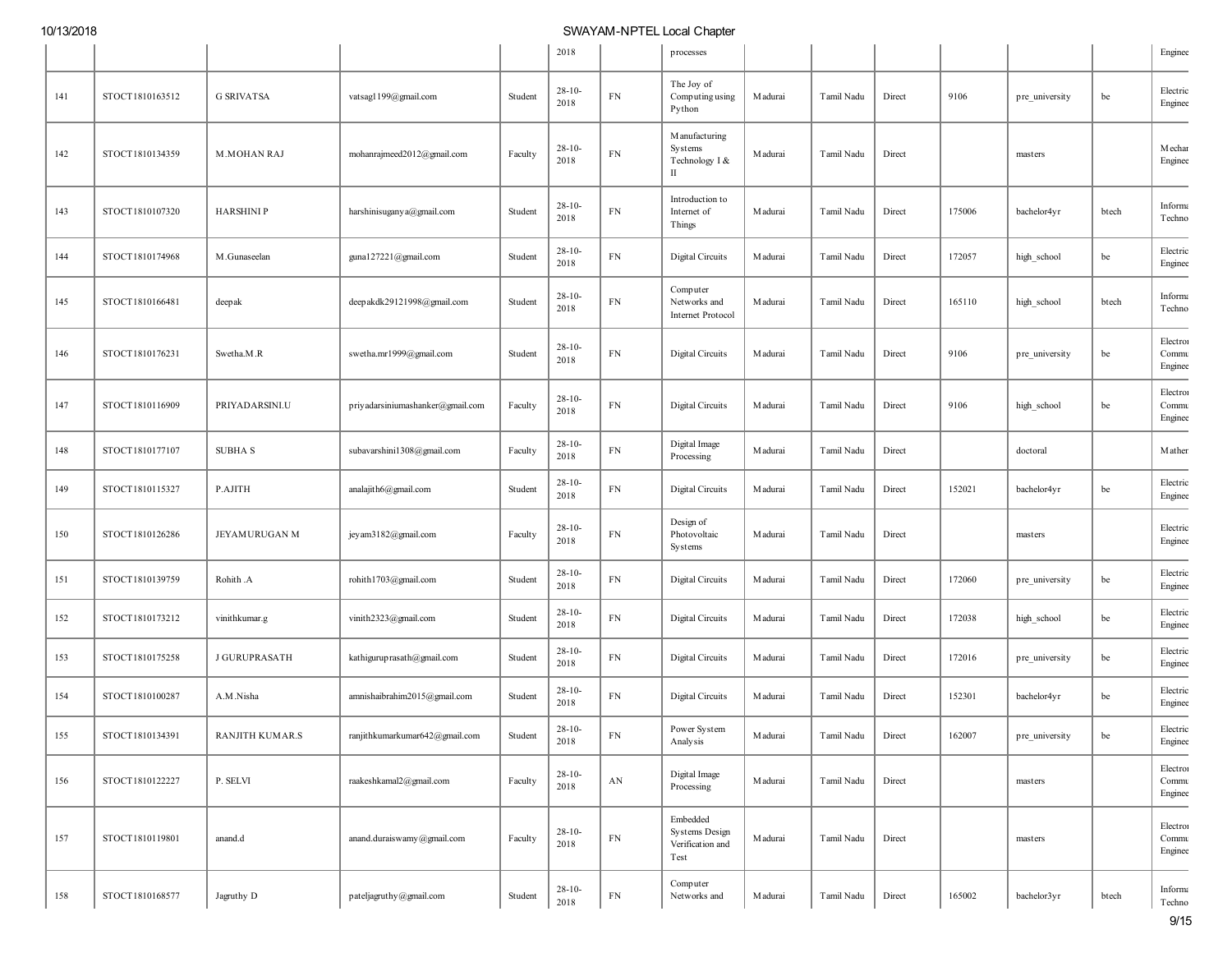|     |                 |                        |                                    |         | 2018                |                        | processes                                              |                 |            |        |        |                |       | Enginee                      |
|-----|-----------------|------------------------|------------------------------------|---------|---------------------|------------------------|--------------------------------------------------------|-----------------|------------|--------|--------|----------------|-------|------------------------------|
| 141 | STOCT1810163512 | <b>G SRIVATSA</b>      | vatsagl 199@gmail.com              | Student | $28-10-$<br>2018    | FN                     | The Joy of<br>Computing using<br>Python                | <b>M</b> adurai | Tamil Nadu | Direct | 9106   | pre_university | be    | Electric<br>Enginee          |
| 142 | STOCT1810134359 | <b>M.MOHAN RAJ</b>     | mohanrajmeed2012@gmail.com         | Faculty | $28-10-$<br>2018    | ${\rm FN}$             | M anufacturing<br>Systems<br>Technology I &<br>П       | M adurai        | Tamil Nadu | Direct |        | masters        |       | Mechar<br>Enginee            |
| 143 | STOCT1810107320 | <b>HARSHINI P</b>      | harshinisugany a@gmail.com         | Student | $28 - 10 -$<br>2018 | ${\rm FN}$             | Introduction to<br>Internet of<br>Things               | M adurai        | Tamil Nadu | Direct | 175006 | bachelor4yr    | btech | Informa<br>Techno            |
| 144 | STOCT1810174968 | M.Gunaseelan           | guna127221@gmail.com               | Student | $28-10-$<br>2018    | FN                     | Digital Circuits                                       | <b>M</b> adurai | Tamil Nadu | Direct | 172057 | high_school    | be    | Electric<br>Enginee          |
| 145 | STOCT1810166481 | deepak                 | deepakdk29121998@gmail.com         | Student | $28-10-$<br>2018    | ${\rm FN}$             | Computer<br>Networks and<br>Internet Protocol          | <b>M</b> adurai | Tamil Nadu | Direct | 165110 | high_school    | btech | Informa<br>Techno            |
| 146 | STOCT1810176231 | Swetha.M.R             | swetha.mr1999@gmail.com            | Student | $28-10-$<br>2018    | ${\rm FN}$             | Digital Circuits                                       | <b>M</b> adurai | Tamil Nadu | Direct | 9106   | pre_university | be    | Electron<br>Commu<br>Enginee |
| 147 | STOCT1810116909 | PRIYADARSINI.U         | priyadarsiniumashanker@gmail.com   | Faculty | $28-10-$<br>2018    | ${\rm FN}$             | Digital Circuits                                       | M adurai        | Tamil Nadu | Direct | 9106   | high_school    | be    | Electron<br>Commu<br>Enginee |
| 148 | STOCT1810177107 | <b>SUBHAS</b>          | subavarshini1308@gmail.com         | Faculty | $28 - 10 -$<br>2018 | FN                     | Digital Image<br>Processing                            | <b>M</b> adurai | Tamil Nadu | Direct |        | doctoral       |       | Mathen                       |
| 149 | STOCT1810115327 | P.AJITH                | analajith6@gmail.com               | Student | $28 - 10 -$<br>2018 | FN                     | Digital Circuits                                       | <b>M</b> adurai | Tamil Nadu | Direct | 152021 | bachelor4yr    | be    | Electric<br>Enginee          |
| 150 | STOCT1810126286 | JEYAMURUGAN M          | jey am3182@gmail.com               | Faculty | $28 - 10 -$<br>2018 | ${\rm FN}$             | Design of<br>Photovoltaic<br>Systems                   | M adurai        | Tamil Nadu | Direct |        | masters        |       | Electric<br>Enginee          |
| 151 | STOCT1810139759 | Rohith .A              | rohith1703@gmail.com               | Student | $28-10-$<br>2018    | ${\rm FN}$             | Digital Circuits                                       | <b>M</b> adurai | Tamil Nadu | Direct | 172060 | pre_university | be    | Electric<br>Enginee          |
| 152 | STOCT1810173212 | vinithkumar.g          | vinith2323@gmail.com               | Student | $28 - 10 -$<br>2018 | FN                     | Digital Circuits                                       | M adurai        | Tamil Nadu | Direct | 172038 | high_school    | be    | Electric<br>Enginee          |
| 153 | STOCT1810175258 | <b>J GURUPRASATH</b>   | kathiguruprasath@gmail.com         | Student | $28 - 10 -$<br>2018 | FN                     | Digital Circuits                                       | M adurai        | Tamil Nadu | Direct | 172016 | pre_university | be    | Electric<br>Enginee          |
| 154 | STOCT1810100287 | A.M.Nisha              | amnishaibrahim2015@gmail.com       | Student | $28-10-$<br>2018    | FN                     | Digital Circuits                                       | M adurai        | Tamil Nadu | Direct | 152301 | bachelor4yr    | be    | Electric<br>Enginee          |
| 155 | STOCT1810134391 | <b>RANJITH KUMAR.S</b> | ranjithkumarkumar<br>642@gmail.com | Student | $28-10-$<br>2018    | ${\rm FN}$             | Power System<br>Analysis                               | Madurai         | Tamil Nadu | Direct | 162007 | pre_university | be    | Electric<br>Enginee          |
| 156 | STOCT1810122227 | P. SELVI               | raakeshkamal2@gmail.com            | Faculty | $28 - 10 -$<br>2018 | $\mathbf{A}\mathbf{N}$ | Digital Image<br>Processing                            | Madurai         | Tamil Nadu | Direct |        | masters        |       | Electron<br>Commu<br>Enginee |
| 157 | STOCT1810119801 | anand.d                | anand.duraiswamy@gmail.com         | Faculty | $28-10-$<br>2018    | ${\rm FN}$             | Embedded<br>Systems Design<br>Verification and<br>Test | Madurai         | Tamil Nadu | Direct |        | masters        |       | Electron<br>Commu<br>Enginee |
| 158 | STOCT1810168577 | Jagruthy D             | pateljagruthy@gmail.com            | Student | $28-10-$<br>2018    | ${\rm FN}$             | Computer<br>Networks and                               | Madurai         | Tamil Nadu | Direct | 165002 | bachelor3yr    | btech | Informa<br>Techno            |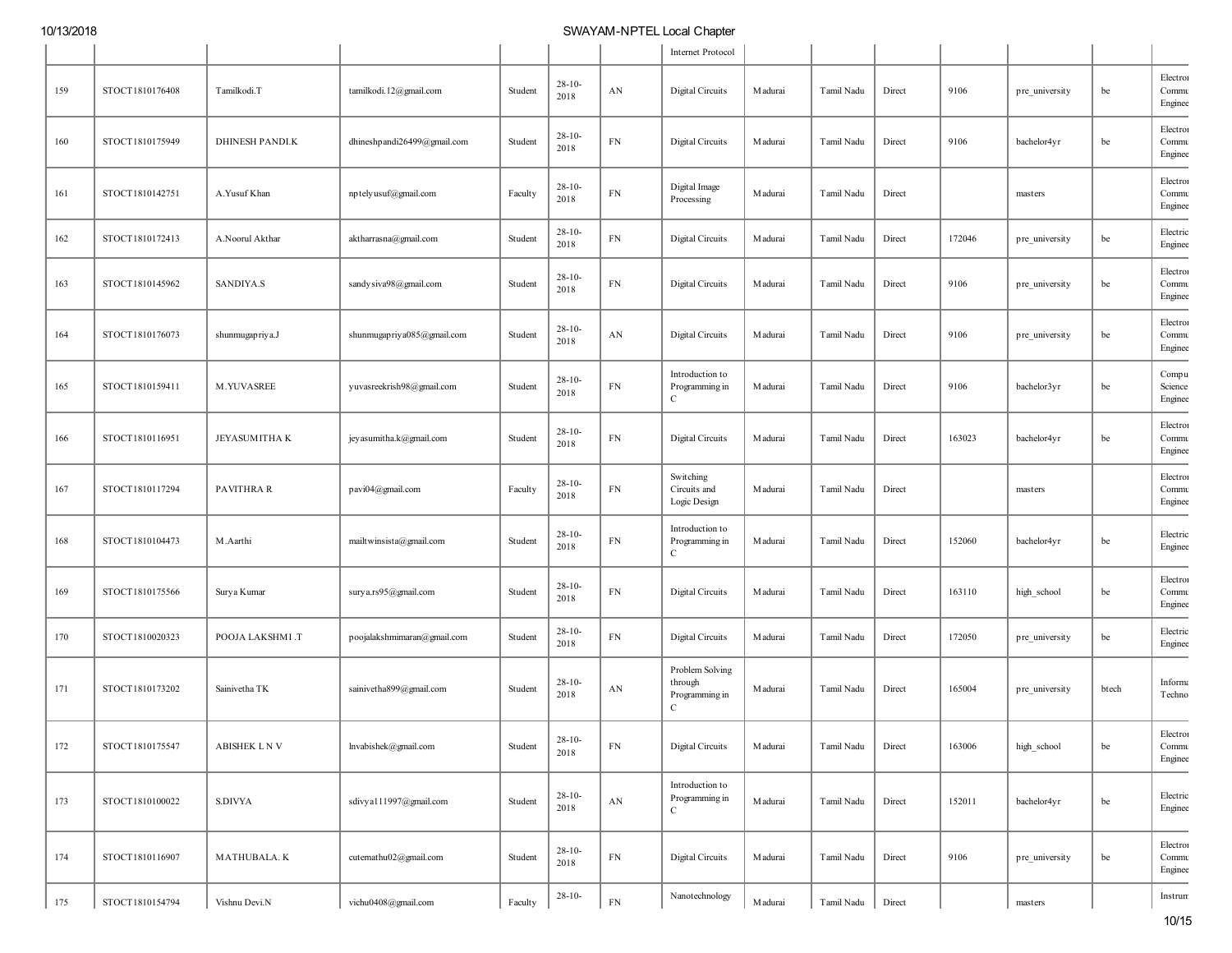|     |                 |                       |                             |         |                     |                        | Internet Protocol                                            |                 |            |        |        |                |       |                              |
|-----|-----------------|-----------------------|-----------------------------|---------|---------------------|------------------------|--------------------------------------------------------------|-----------------|------------|--------|--------|----------------|-------|------------------------------|
| 159 | STOCT1810176408 | Tamilkodi.T           | tamilkodi.12@gmail.com      | Student | $28 - 10 -$<br>2018 | $\mathbf{AN}$          | Digital Circuits                                             | <b>M</b> adurai | Tamil Nadu | Direct | 9106   | pre_university | be    | Electron<br>Commu<br>Enginee |
| 160 | STOCT1810175949 | <b>DHINESH PANDLK</b> | dhineshpandi26499@gmail.com | Student | $28-10-$<br>2018    | ${\rm FN}$             | Digital Circuits                                             | <b>M</b> adurai | Tamil Nadu | Direct | 9106   | bachelor4yr    | be    | Electron<br>Commu<br>Enginee |
| 161 | STOCT1810142751 | A. Yusuf Khan         | nptelyusuf@gmail.com        | Faculty | $28-10-$<br>2018    | ${\rm FN}$             | Digital Image<br>Processing                                  | <b>M</b> adurai | Tamil Nadu | Direct |        | masters        |       | Electron<br>Commu<br>Enginee |
| 162 | STOCT1810172413 | A.Noorul Akthar       | aktharrasna@gmail.com       | Student | $28 - 10 -$<br>2018 | ${\rm FN}$             | Digital Circuits                                             | Madurai         | Tamil Nadu | Direct | 172046 | pre_university | be    | Electric<br>Enginee          |
| 163 | STOCT1810145962 | SANDIYA.S             | sandy siva98@gmail.com      | Student | $28 - 10 -$<br>2018 | ${\rm FN}$             | Digital Circuits                                             | Madurai         | Tamil Nadu | Direct | 9106   | pre_university | be    | Electron<br>Commu<br>Enginee |
| 164 | STOCT1810176073 | shunmugapriya.J       | shunmugapriya085@gmail.com  | Student | $28 - 10 -$<br>2018 | AN                     | Digital Circuits                                             | M adurai        | Tamil Nadu | Direct | 9106   | pre_university | be    | Electron<br>Commu<br>Enginee |
| 165 | STOCT1810159411 | M.YUVASREE            | yuvasreekrish98@gmail.com   | Student | $28-10-$<br>2018    | ${\rm FN}$             | Introduction to<br>Programming in<br>$\mathbf C$             | Madurai         | Tamil Nadu | Direct | 9106   | bachelor3yr    | be    | Compu<br>Science<br>Enginee  |
| 166 | STOCT1810116951 | <b>JEYASUMITHAK</b>   | jey asumitha.k@gmail.com    | Student | $28-10-$<br>2018    | ${\rm FN}$             | Digital Circuits                                             | M adurai        | Tamil Nadu | Direct | 163023 | bachelor4yr    | be    | Electron<br>Commu<br>Enginee |
| 167 | STOCT1810117294 | PAVITHRA R            | pavi04@gmail.com            | Faculty | $28-10-$<br>2018    | ${\rm FN}$             | Switching<br>Circuits and<br>Logic Design                    | Madurai         | Tamil Nadu | Direct |        | masters        |       | Electron<br>Commu<br>Enginee |
| 168 | STOCT1810104473 | M.Aarthi              | mailtwinsista@gmail.com     | Student | $28-10-$<br>2018    | ${\rm FN}$             | Introduction to<br>Programming in<br>C                       | Madurai         | Tamil Nadu | Direct | 152060 | bachelor4yr    | be    | Electric<br>Enginee          |
| 169 | STOCT1810175566 | Surya Kumar           | surya.rs95@gmail.com        | Student | $28-10-$<br>2018    | ${\rm FN}$             | Digital Circuits                                             | M adurai        | Tamil Nadu | Direct | 163110 | high_school    | be    | Electron<br>Commu<br>Enginee |
| 170 | STOCT1810020323 | POOJA LAKSHMI.T       | poojalakshmimaran@gmail.com | Student | $28 - 10 -$<br>2018 | FN                     | Digital Circuits                                             | <b>M</b> adurai | Tamil Nadu | Direct | 172050 | pre_university | be    | Electric<br>Enginee          |
| 171 | STOCT1810173202 | Sainivetha TK         | sainivetha899@gmail.com     | Student | $28 - 10 -$<br>2018 | AN                     | Problem Solving<br>through<br>Programming in<br>$\mathbf{C}$ | Madurai         | Tamil Nadu | Direct | 165004 | pre university | btech | Informa<br>Techno            |
| 172 | STOCT1810175547 | ABISHEK L N V         | lnvabishek@gmail.com        | Student | $28 - 10 -$<br>2018 | ${\rm FN}$             | Digital Circuits                                             | Madurai         | Tamil Nadu | Direct | 163006 | high_school    | be    | Electron<br>Commu<br>Enginee |
| 173 | STOCT1810100022 | S.DIVYA               | sdivya111997@gmail.com      | Student | $28 - 10 -$<br>2018 | $\mathbf{A}\mathbf{N}$ | Introduction to<br>Programming in<br>$\mathbf C$             | M adurai        | Tamil Nadu | Direct | 152011 | bachelor4yr    | be    | Electric<br>Enginee          |
| 174 | STOCT1810116907 | MATHUBALA. K          | cutemathu02@gmail.com       | Student | $28 - 10 -$<br>2018 | ${\rm FN}$             | Digital Circuits                                             | M adurai        | Tamil Nadu | Direct | 9106   | pre university | be    | Electron<br>Commu<br>Enginee |
| 175 | STOCT1810154794 | Vishnu Devi.N         | vichu0408@gmail.com         | Faculty | $28-10-$            | ${\rm FN}$             | Nanotechnology                                               | M adurai        | Tamil Nadu | Direct |        | masters        |       | Instrum                      |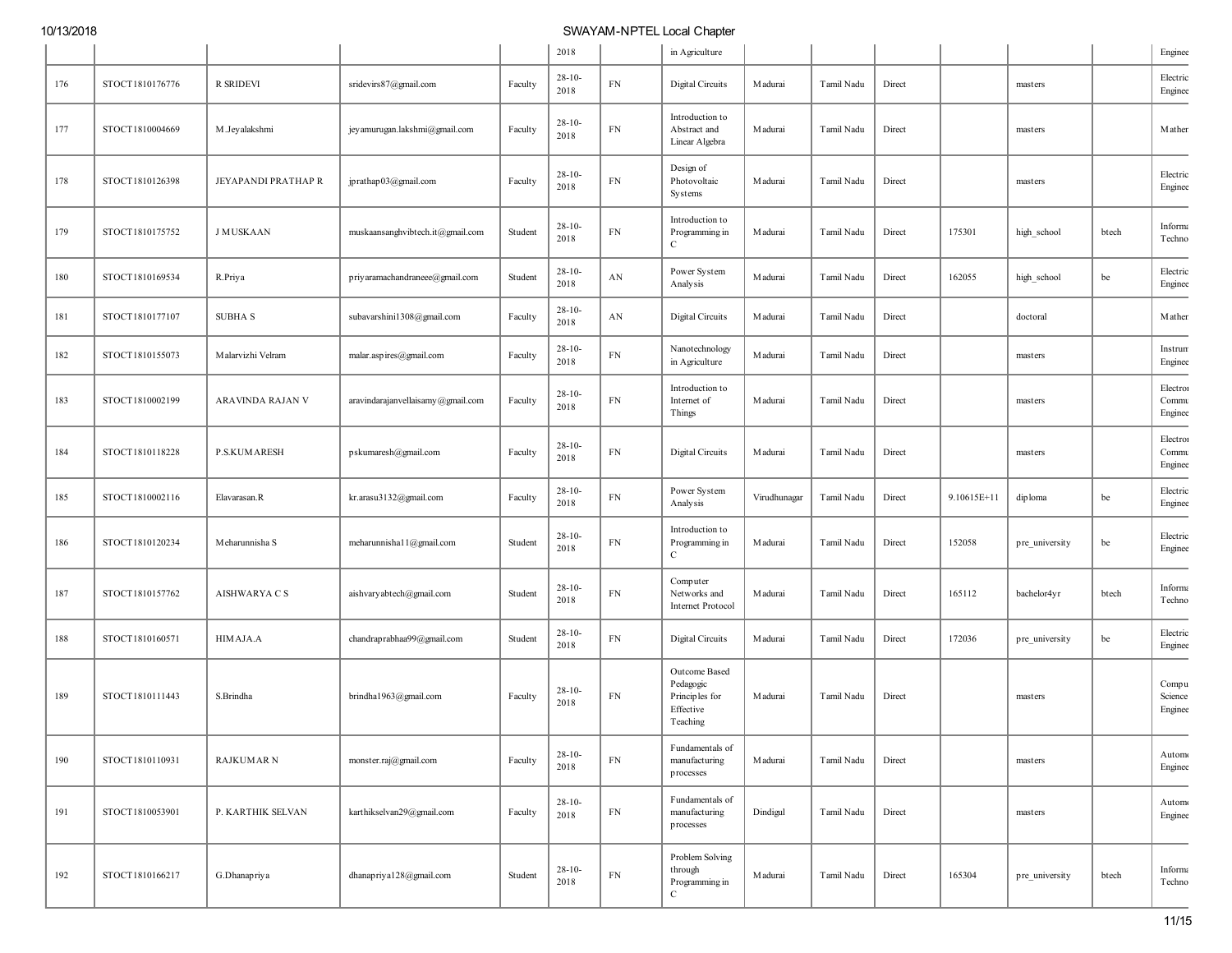|     |                 |                      |                                   |         | 2018                |                        | in Agriculture                                                        |              |            |        |             |                |       | Enginee                      |
|-----|-----------------|----------------------|-----------------------------------|---------|---------------------|------------------------|-----------------------------------------------------------------------|--------------|------------|--------|-------------|----------------|-------|------------------------------|
| 176 | STOCT1810176776 | R SRIDEVI            | sridevirs87@gmail.com             | Faculty | $28 - 10 -$<br>2018 | FN                     | Digital Circuits                                                      | M adurai     | Tamil Nadu | Direct |             | masters        |       | Electric<br>Enginee          |
| 177 | STOCT1810004669 | M.Jeyalakshmi        | jey amurugan.lakshmi@gmail.com    | Faculty | $28 - 10 -$<br>2018 | ${\rm FN}$             | Introduction to<br>Abstract and<br>Linear Algebra                     | Madurai      | Tamil Nadu | Direct |             | masters        |       | Mather                       |
| 178 | STOCT1810126398 | JEYAPANDI PRATHAP R  | jprathap03@gmail.com              | Faculty | $28 - 10 -$<br>2018 | ${\rm FN}$             | Design of<br>Photovoltaic<br>Systems                                  | M adurai     | Tamil Nadu | Direct |             | masters        |       | Electric<br>Enginee          |
| 179 | STOCT1810175752 | <b>J MUSKAAN</b>     | muskaansanghvibtech.it@gmail.com  | Student | $28 - 10 -$<br>2018 | ${\rm FN}$             | Introduction to<br>Programming in<br>C                                | M adurai     | Tamil Nadu | Direct | 175301      | high_school    | btech | Informa<br>Techno            |
| 180 | STOCT1810169534 | R.Priya              | priyaramachandraneee@gmail.com    | Student | $28-10-$<br>2018    | $\mathbf{A}\mathbf{N}$ | Power System<br>Analysis                                              | Madurai      | Tamil Nadu | Direct | 162055      | high_school    | be    | Electric<br>Enginee          |
| 181 | STOCT1810177107 | <b>SUBHA S</b>       | subavarshini1308@gmail.com        | Faculty | $28 - 10 -$<br>2018 | AN                     | Digital Circuits                                                      | M adurai     | Tamil Nadu | Direct |             | doctoral       |       | Mathen                       |
| 182 | STOCT1810155073 | Malarvizhi Velram    | malar.aspires@gmail.com           | Faculty | $28 - 10$<br>2018   | ${\rm FN}$             | Nanotechnology<br>in Agriculture                                      | M adurai     | Tamil Nadu | Direct |             | masters        |       | Instrum<br>Enginee           |
| 183 | STOCT1810002199 | ARAVINDA RAJAN V     | aravindarajanvellaisamy@gmail.com | Faculty | $28 - 10$<br>2018   | ${\rm FN}$             | Introduction to<br>Internet of<br>Things                              | Madurai      | Tamil Nadu | Direct |             | masters        |       | Electron<br>Commu<br>Enginee |
| 184 | STOCT1810118228 | <b>P.S.KUMARESH</b>  | pskumaresh@gmail.com              | Faculty | $28-10-$<br>2018    | ${\rm FN}$             | Digital Circuits                                                      | Madurai      | Tamil Nadu | Direct |             | masters        |       | Electron<br>Commu<br>Enginee |
| 185 | STOCT1810002116 | Elavarasan.R         | kr.arasu3132@gmail.com            | Faculty | $28-10-$<br>2018    | ${\rm FN}$             | Power System<br>Analysis                                              | Virudhunagar | Tamil Nadu | Direct | 9.10615E+11 | diploma        | be    | Electric<br>Enginee          |
| 186 | STOCT1810120234 | Meharunnisha S       | meharunnisha11@gmail.com          | Student | $28 - 10 -$<br>2018 | ${\rm FN}$             | Introduction to<br>Programming in<br>$\mathbf{C}$                     | M adurai     | Tamil Nadu | Direct | 152058      | pre_university | be    | Electric<br>Enginee          |
| 187 | STOCT1810157762 | <b>AISHWARYA C S</b> | aishvaryabtech@gmail.com          | Student | $28 - 10 -$<br>2018 | ${\rm FN}$             | Computer<br>Networks and<br><b>Internet Protocol</b>                  | M adurai     | Tamil Nadu | Direct | 165112      | bachelor4yr    | btech | Informa<br>Techno            |
| 188 | STOCT1810160571 | HIMAJA.A             | chandraprabhaa99@gmail.com        | Student | $28 - 10 -$<br>2018 | ${\rm FN}$             | Digital Circuits                                                      | Madurai      | Tamil Nadu | Direct | 172036      | pre_university | be    | Electric<br>Enginee          |
| 189 | STOCT1810111443 | S.Brindha            | brindha1963@gmail.com             | Faculty | $28 - 10$<br>2018   | ${\rm FN}$             | Outcome Based<br>Pedagogic<br>Principles for<br>Effective<br>Teaching | M adurai     | Tamil Nadu | Direct |             | masters        |       | Compu<br>Science<br>Enginee  |
| 190 | STOCT1810110931 | <b>RAJKUMAR N</b>    | monster.raj@gmail.com             | Faculty | $28 - 10 -$<br>2018 | ${\rm FN}$             | Fundamentals of<br>manufacturing<br>processes                         | M adurai     | Tamil Nadu | Direct |             | masters        |       | Automo<br>Enginee            |
| 191 | STOCT1810053901 | P. KARTHIK SELVAN    | karthikselvan29@gmail.com         | Faculty | $28 - 10 -$<br>2018 | <b>FN</b>              | Fundamentals of<br>manufacturing<br>processes                         | Dindigul     | Tamil Nadu | Direct |             | masters        |       | Automo<br>Enginee            |
| 192 | STOCT1810166217 | G.Dhanapriya         | dhanapriya128@gmail.com           | Student | $28 - 10 -$<br>2018 | ${\rm FN}$             | Problem Solving<br>through<br>Programming in<br>$\mathbf C$           | M adurai     | Tamil Nadu | Direct | 165304      | pre_university | btech | Informa<br>Techno            |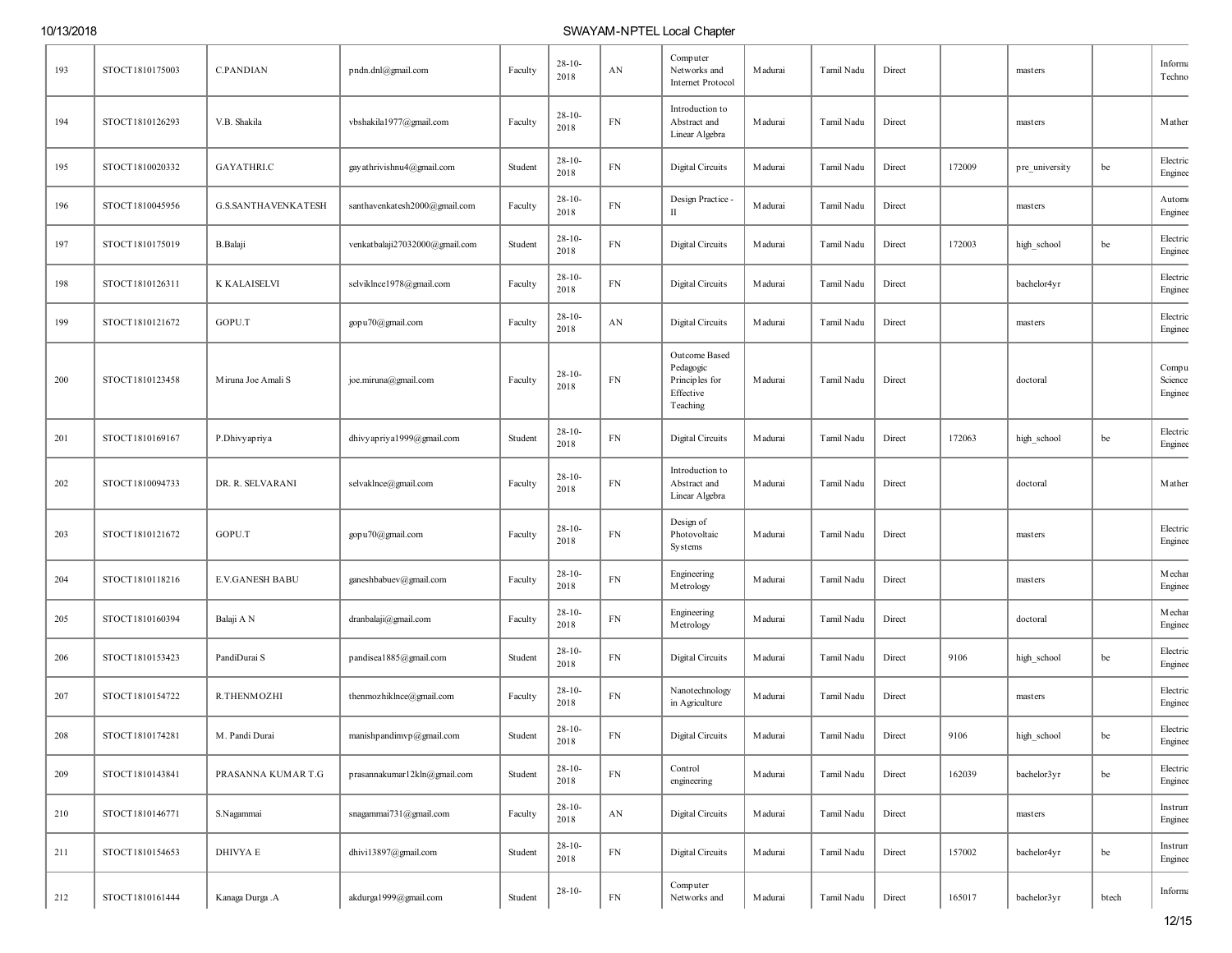| 193 | STOCT1810175003 | <b>C.PANDIAN</b>           | pndn.dnl@gmail.com             | Faculty | $28 - 10$<br>2018   | AN         | Computer<br>Networks and<br>Internet Protocol                         | M adurai | Tamil Nadu | Direct |        | masters        |       | Informa<br>Techno           |
|-----|-----------------|----------------------------|--------------------------------|---------|---------------------|------------|-----------------------------------------------------------------------|----------|------------|--------|--------|----------------|-------|-----------------------------|
| 194 | STOCT1810126293 | V.B. Shakila               | vbshakila1977@gmail.com        | Faculty | $28 - 10 -$<br>2018 | ${\rm FN}$ | Introduction to<br>Abstract and<br>Linear Algebra                     | Madurai  | Tamil Nadu | Direct |        | masters        |       | Mathen                      |
| 195 | STOCT1810020332 | <b>GAYATHRI.C</b>          | gay athrivishnu4@gmail.com     | Student | $28-10-$<br>2018    | ${\rm FN}$ | Digital Circuits                                                      | M adurai | Tamil Nadu | Direct | 172009 | pre_university | be    | Electric<br>Enginee         |
| 196 | STOCT1810045956 | <b>G.S.SANTHAVENKATESH</b> | santhavenkatesh2000@gmail.com  | Faculty | $28 - 10 -$<br>2018 | ${\rm FN}$ | Design Practice -<br>П                                                | M adurai | Tamil Nadu | Direct |        | masters        |       | Automo<br>Enginee           |
| 197 | STOCT1810175019 | <b>B.Balaji</b>            | venkatbalaji27032000@gmail.com | Student | $28 - 10 -$<br>2018 | ${\rm FN}$ | Digital Circuits                                                      | M adurai | Tamil Nadu | Direct | 172003 | high_school    | be    | Electric<br>Enginee         |
| 198 | STOCT1810126311 | K KALAISELVI               | selviklnce1978@gmail.com       | Faculty | $28-10-$<br>2018    | ${\rm FN}$ | Digital Circuits                                                      | M adurai | Tamil Nadu | Direct |        | bachelor4yr    |       | Electric<br>Enginee         |
| 199 | STOCT1810121672 | GOPU.T                     | gopu70@gmail.com               | Faculty | $28 - 10$<br>2018   | AN         | Digital Circuits                                                      | M adurai | Tamil Nadu | Direct |        | masters        |       | Electric<br>Enginee         |
| 200 | STOCT1810123458 | Miruna Joe Amali S         | joe.miruna@gmail.com           | Faculty | $28 - 10 -$<br>2018 | ${\rm FN}$ | Outcome Based<br>Pedagogic<br>Principles for<br>Effective<br>Teaching | Madurai  | Tamil Nadu | Direct |        | doctoral       |       | Compu<br>Science<br>Enginee |
| 201 | STOCT1810169167 | P.Dhivyapriya              | dhivy apriya1999@gmail.com     | Student | $28-10-$<br>2018    | ${\rm FN}$ | Digital Circuits                                                      | M adurai | Tamil Nadu | Direct | 172063 | high_school    | be    | Electric<br>Enginee         |
| 202 | STOCT1810094733 | DR. R. SELVARANI           | selvaklnce@gmail.com           | Faculty | $28-10-$<br>2018    | ${\rm FN}$ | Introduction to<br>Abstract and<br>Linear Algebra                     | M adurai | Tamil Nadu | Direct |        | doctoral       |       | Mather                      |
| 203 | STOCT1810121672 | GOPU.T                     | gopu70@gmail.com               | Faculty | $28 - 10 -$<br>2018 | ${\rm FN}$ | Design of<br>Photovoltaic<br>Systems                                  | M adurai | Tamil Nadu | Direct |        | masters        |       | Electric<br>Enginee         |
| 204 | STOCT1810118216 | <b>E.V.GANESH BABU</b>     | ganeshbabuev@gmail.com         | Faculty | $28-10-$<br>2018    | ${\rm FN}$ | Engineering<br>Metrology                                              | M adurai | Tamil Nadu | Direct |        | masters        |       | <b>M</b> echar<br>Enginee   |
| 205 | STOCT1810160394 | Balaji A N                 | dranbalaji@gmail.com           | Faculty | $28 - 10 -$<br>2018 | ${\rm FN}$ | Engineering<br>Metrology                                              | M adurai | Tamil Nadu | Direct |        | doctoral       |       | <b>M</b> echar<br>Enginee   |
| 206 | STOCT1810153423 | PandiDurai S               | pandisea1885@gmail.com         | Student | $28-10-$<br>2018    | ${\rm FN}$ | Digital Circuits                                                      | M adurai | Tamil Nadu | Direct | 9106   | high_school    | be    | Electric<br>Enginee         |
| 207 | STOCT1810154722 | R.THENMOZHI                | thenmozhiklnce@gmail.com       | Faculty | $28-10-$<br>2018    | ${\rm FN}$ | Nanotechnology<br>in Agriculture                                      | M adurai | Tamil Nadu | Direct |        | masters        |       | Electric<br>Enginee         |
| 208 | STOCT1810174281 | M. Pandi Durai             | manishpandimvp@gmail.com       | Student | $28-10$<br>2018     | ${\rm FN}$ | Digital Circuits                                                      | M adurai | Tamil Nadu | Direct | 9106   | high_school    | be    | Electric<br>Enginee         |
| 209 | STOCT1810143841 | PRASANNA KUMAR T.G         | prasannakumar12kln@gmail.com   | Student | $28 - 10 -$<br>2018 | ${\rm FN}$ | Control<br>engineering                                                | Madurai  | Tamil Nadu | Direct | 162039 | bachelor3yr    | be    | Electric<br>Enginee         |
| 210 | STOCT1810146771 | S.Nagammai                 | snagammai731@gmail.com         | Faculty | $28 - 10 -$<br>2018 | AN         | Digital Circuits                                                      | M adurai | Tamil Nadu | Direct |        | masters        |       | Instrum<br>Enginee          |
| 211 | STOCT1810154653 | DHIVYA E                   | dhivi13897@gmail.com           | Student | $28 - 10 -$<br>2018 | ${\rm FN}$ | Digital Circuits                                                      | M adurai | Tamil Nadu | Direct | 157002 | bachelor4yr    | be    | Instrum<br>Enginee          |
| 212 | STOCT1810161444 | Kanaga Durga .A            | akdurga1999@gmail.com          | Student | $28-10-$            | ${\rm FN}$ | Computer<br>Networks and                                              | Madurai  | Tamil Nadu | Direct | 165017 | bachelor3yr    | btech | Informa                     |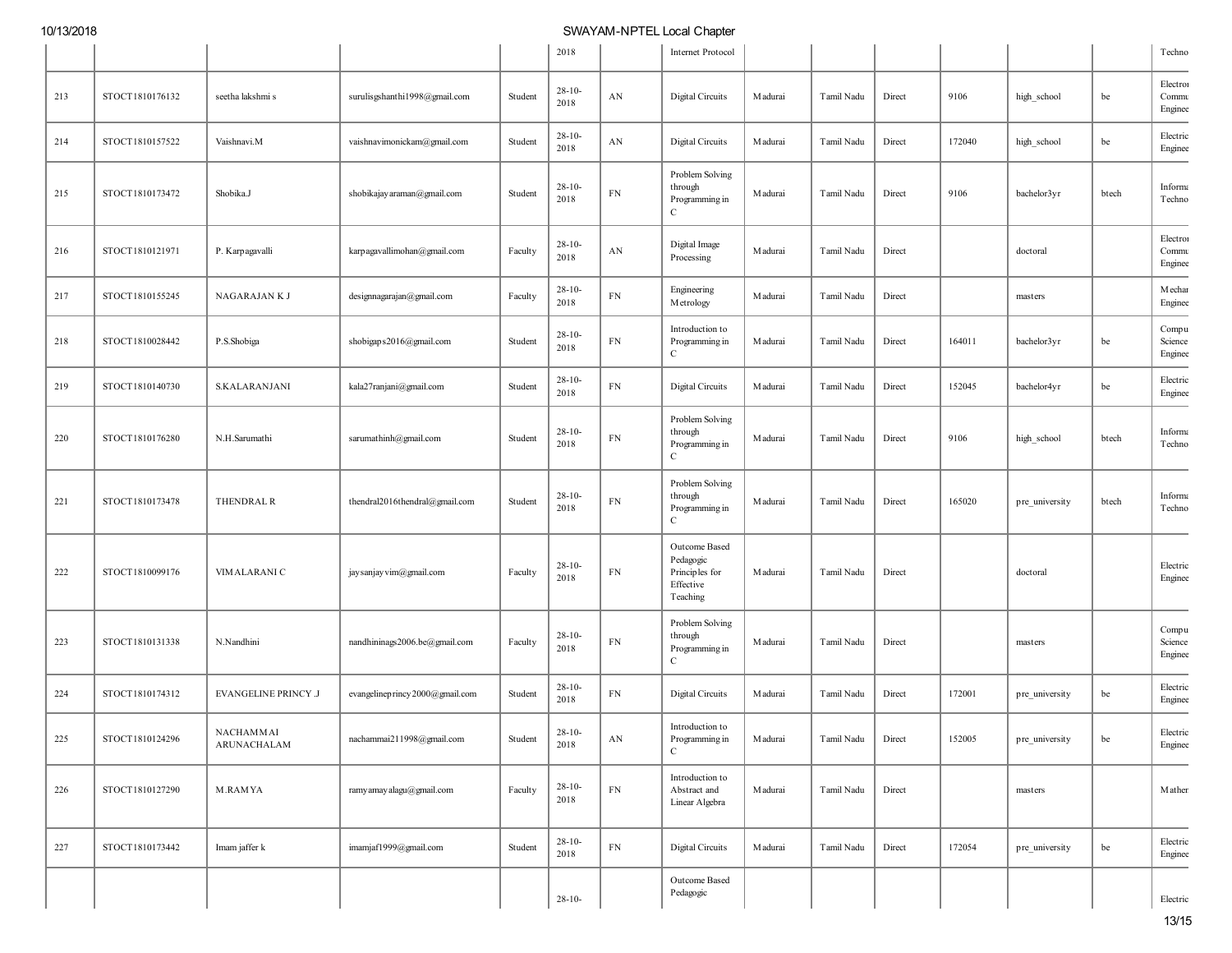|     |                 |                             |                                |         | 2018                |            | Internet Protocol                                                     |                 |            |        |        |                |       | Techno                       |
|-----|-----------------|-----------------------------|--------------------------------|---------|---------------------|------------|-----------------------------------------------------------------------|-----------------|------------|--------|--------|----------------|-------|------------------------------|
| 213 | STOCT1810176132 | seetha lakshmi s            | surulisgshanthi1998@gmail.com  | Student | $28 - 10 -$<br>2018 | AN         | Digital Circuits                                                      | <b>M</b> adurai | Tamil Nadu | Direct | 9106   | high_school    | be    | Electron<br>Commu<br>Enginee |
| 214 | STOCT1810157522 | Vaishnavi.M                 | vaishnavimonickam@gmail.com    | Student | $28 - 10 -$<br>2018 | AN         | Digital Circuits                                                      | Madurai         | Tamil Nadu | Direct | 172040 | high_school    | be    | Electric<br>Enginee          |
| 215 | STOCT1810173472 | Shobika.J                   | shobikajay araman@gmail.com    | Student | $28 - 10 -$<br>2018 | ${\rm FN}$ | Problem Solving<br>through<br>Programming in<br>$\mathbf C$           | M adurai        | Tamil Nadu | Direct | 9106   | bachelor3yr    | btech | Informa<br>Techno            |
| 216 | STOCT1810121971 | P. Karpagavalli             | karpagavallimohan@gmail.com    | Faculty | $28 - 10 -$<br>2018 | AN         | Digital Image<br>Processing                                           | M adurai        | Tamil Nadu | Direct |        | doctoral       |       | Electron<br>Commu<br>Enginee |
| 217 | STOCT1810155245 | NAGARAJAN K J               | designnagarajan@gmail.com      | Faculty | $28 - 10 -$<br>2018 | ${\rm FN}$ | Engineering<br>Metrology                                              | M adurai        | Tamil Nadu | Direct |        | masters        |       | Mechar<br>Enginee            |
| 218 | STOCT1810028442 | P.S.Shobiga                 | shobigaps2016@gmail.com        | Student | $28 - 10 -$<br>2018 | FN         | Introduction to<br>Programming in<br>C                                | M adurai        | Tamil Nadu | Direct | 164011 | bachelor3yr    | be    | Compu<br>Science<br>Enginee  |
| 219 | STOCT1810140730 | <b>S.KALARANJANI</b>        | kala27ranjani@gmail.com        | Student | $28 - 10 -$<br>2018 | FN         | Digital Circuits                                                      | M adurai        | Tamil Nadu | Direct | 152045 | bachelor4yr    | be    | Electric<br>Enginee          |
| 220 | STOCT1810176280 | N.H.Sarumathi               | sarumathinh@gmail.com          | Student | $28-10-$<br>2018    | ${\rm FN}$ | Problem Solving<br>through<br>Programming in<br>$\mathbf C$           | M adurai        | Tamil Nadu | Direct | 9106   | high_school    | btech | Informa<br>Techno            |
| 221 | STOCT1810173478 | THENDRAL R                  | thendral2016thendral@gmail.com | Student | $28 - 10 -$<br>2018 | ${\rm FN}$ | Problem Solving<br>through<br>Programming in<br>$\mathbf C$           | M adurai        | Tamil Nadu | Direct | 165020 | pre_university | btech | Informa<br>Techno            |
| 222 | STOCT1810099176 | VIMALARANI C                | jay sanjay vim@gmail.com       | Faculty | $28 - 10 -$<br>2018 | ${\rm FN}$ | Outcome Based<br>Pedagogic<br>Principles for<br>Effective<br>Teaching | M adurai        | Tamil Nadu | Direct |        | doctoral       |       | Electric<br>Enginee          |
| 223 | STOCT1810131338 | N.Nandhini                  | nandhininags2006.be@gmail.com  | Faculty | $28 - 10 -$<br>2018 | ${\rm FN}$ | Problem Solving<br>through<br>Programming in<br>$\mathbf C$           | M adurai        | Tamil Nadu | Direct |        | masters        |       | Compu<br>Science<br>Enginee  |
| 224 | STOCT1810174312 | <b>EVANGELINE PRINCY .J</b> | evangelineprincy2000@gmail.com | Student | $28 - 10 -$<br>2018 | ${\rm FN}$ | Digital Circuits                                                      | <b>M</b> adurai | Tamil Nadu | Direct | 172001 | pre_university | be    | Electric<br>Enginee          |
| 225 | STOCT1810124296 | NACHAMMAI<br>ARUNACHALAM    | nachammai211998@gmail.com      | Student | $28-10-$<br>2018    | AN         | Introduction to<br>Programming in<br>$\mathbf C$                      | Madurai         | Tamil Nadu | Direct | 152005 | pre_university | be    | Electric<br>Enginee          |
| 226 | STOCT1810127290 | M.RAMYA                     | ramy amay alagu@gmail.com      | Faculty | $28 - 10 -$<br>2018 | ${\rm FN}$ | Introduction to<br>Abstract and<br>Linear Algebra                     | M adurai        | Tamil Nadu | Direct |        | masters        |       | Mathen                       |
| 227 | STOCT1810173442 | Imam jaffer k               | imamjaf1999@gmail.com          | Student | $28 - 10 -$<br>2018 | ${\rm FN}$ | <b>Digital Circuits</b>                                               | M adurai        | Tamil Nadu | Direct | 172054 | pre_university | be    | Electric<br>Enginee          |
|     |                 |                             |                                |         | $28 - 10 -$         |            | Outcome Based<br>Pedagogic                                            |                 |            |        |        |                |       | Electric                     |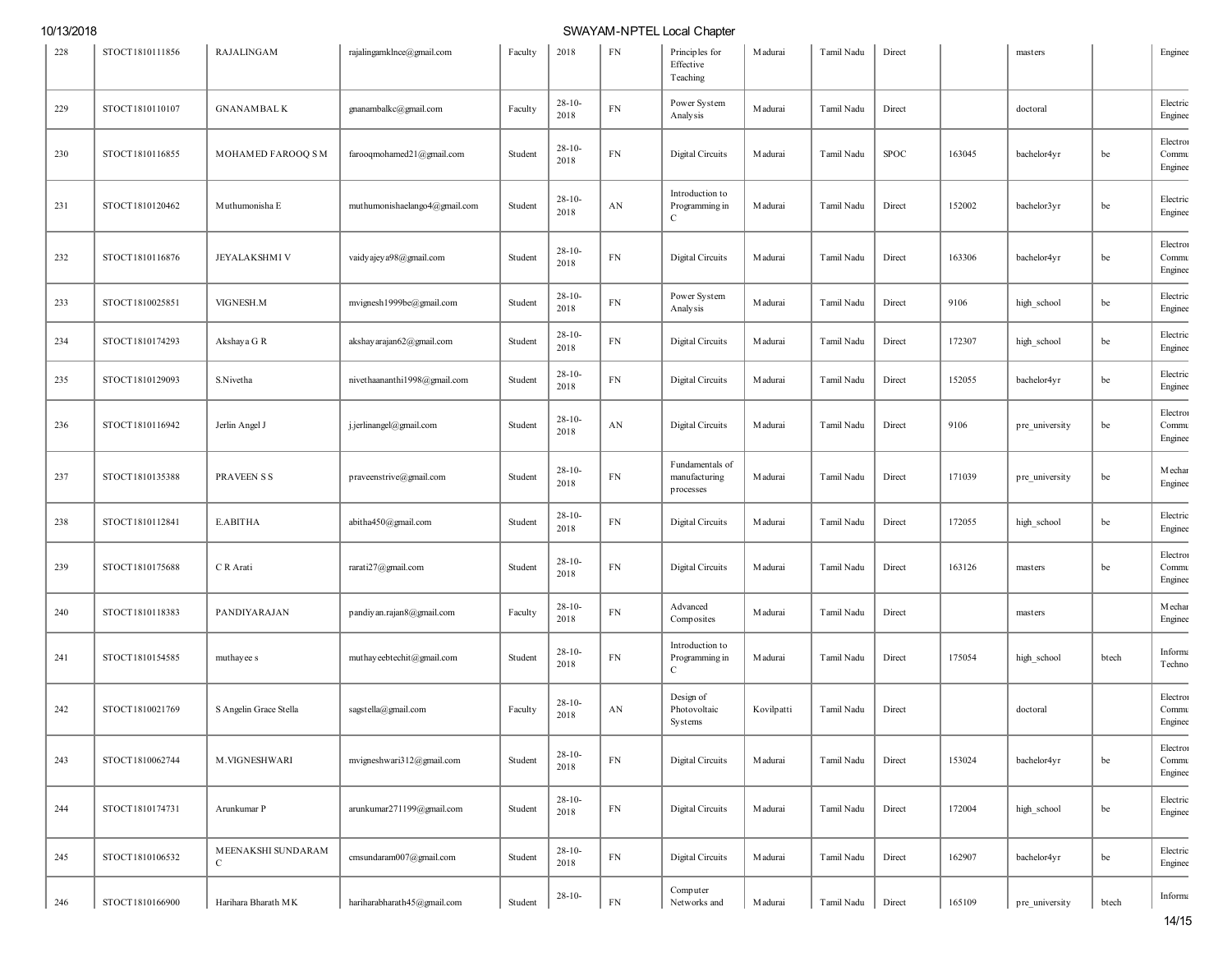| 228 | STOCT1810111856 | RAJALINGAM              | rajalingamklnce@gmail.com     | Faculty | 2018                | <b>FN</b>  | Principles for<br>Effective<br>Teaching           | M adurai   | Tamil Nadu | Direct      |        | masters        |       | Enginee                      |
|-----|-----------------|-------------------------|-------------------------------|---------|---------------------|------------|---------------------------------------------------|------------|------------|-------------|--------|----------------|-------|------------------------------|
| 229 | STOCT1810110107 | <b>GNANAMBALK</b>       | gnanambalkc@gmail.com         | Faculty | $28-10-$<br>2018    | ${\rm FN}$ | Power System<br>Analysis                          | M adurai   | Tamil Nadu | Direct      |        | doctoral       |       | Electric<br>Enginee          |
| 230 | STOCT1810116855 | MOHAMED FAROOQ SM       | farooqmohamed21@gmail.com     | Student | $28-10-$<br>2018    | ${\rm FN}$ | Digital Circuits                                  | M adurai   | Tamil Nadu | <b>SPOC</b> | 163045 | bachelor4yr    | be    | Electron<br>Commu<br>Enginee |
| 231 | STOCT1810120462 | Muthumonisha E          | muthumonishaelango4@gmail.com | Student | $28-10-$<br>2018    | AN         | Introduction to<br>Programming in<br>$\mathbf{C}$ | M adurai   | Tamil Nadu | Direct      | 152002 | bachelor3yr    | be    | Electric<br>Enginee          |
| 232 | STOCT1810116876 | <b>JEYALAKSHMI V</b>    | vaidy ajey a98@gmail.com      | Student | $28 - 10$<br>2018   | ${\rm FN}$ | Digital Circuits                                  | M adurai   | Tamil Nadu | Direct      | 163306 | bachelor4yr    | be    | Electron<br>Commu<br>Enginee |
| 233 | STOCT1810025851 | VIGNESH.M               | mvignesh1999be@gmail.com      | Student | $28 - 10 -$<br>2018 | ${\rm FN}$ | Power System<br>Analysis                          | Madurai    | Tamil Nadu | Direct      | 9106   | high_school    | be    | Electric<br>Enginee          |
| 234 | STOCT1810174293 | Akshaya G R             | akshay arajan62@gmail.com     | Student | $28-10-$<br>2018    | ${\rm FN}$ | Digital Circuits                                  | Madurai    | Tamil Nadu | Direct      | 172307 | high_school    | be    | Electric<br>Enginee          |
| 235 | STOCT1810129093 | S.Nivetha               | nivethaananthi1998@gmail.com  | Student | $28-10$<br>2018     | ${\rm FN}$ | Digital Circuits                                  | M adurai   | Tamil Nadu | Direct      | 152055 | bachelor4yr    | be    | Electric<br>Enginee          |
| 236 | STOCT1810116942 | Jerlin Angel J          | j.jerlinangel@gmail.com       | Student | $28 - 10 -$<br>2018 | AN         | Digital Circuits                                  | Madurai    | Tamil Nadu | Direct      | 9106   | pre_university | be    | Electron<br>Commu<br>Enginee |
| 237 | STOCT1810135388 | <b>PRAVEEN S S</b>      | praveenstrive@gmail.com       | Student | $28-10-$<br>2018    | ${\rm FN}$ | Fundamentals of<br>manufacturing<br>processes     | Madurai    | Tamil Nadu | Direct      | 171039 | pre university | be    | Mechar<br>Enginee            |
| 238 | STOCT1810112841 | E.ABITHA                | abitha450@gmail.com           | Student | $28-10-$<br>2018    | ${\rm FN}$ | Digital Circuits                                  | M adurai   | Tamil Nadu | Direct      | 172055 | high_school    | be    | Electric<br>Enginee          |
| 239 | STOCT1810175688 | C R Arati               | rarati27@gmail.com            | Student | $28-10-$<br>2018    | ${\rm FN}$ | Digital Circuits                                  | M adurai   | Tamil Nadu | Direct      | 163126 | masters        | be    | Electron<br>Commu<br>Enginee |
| 240 | STOCT1810118383 | PANDIYARAJAN            | pandiyan.rajan8@gmail.com     | Faculty | $28-10-$<br>2018    | ${\rm FN}$ | Advanced<br>Composites                            | Madurai    | Tamil Nadu | Direct      |        | masters        |       | Mechar<br>Enginee            |
| 241 | STOCT1810154585 | muthayee s              | muthay eebtechit@gmail.com    | Student | $28-10-$<br>2018    | ${\rm FN}$ | Introduction to<br>Programming in<br>$\mathsf{C}$ | M adurai   | Tamil Nadu | Direct      | 175054 | high_school    | btech | Informa<br>Techno            |
| 242 | STOCT1810021769 | S Angelin Grace Stella  | sagstella@gmail.com           | Faculty | $28-10-$<br>2018    | AN         | Design of<br>Photovoltaic<br>Systems              | Kovilpatti | Tamil Nadu | Direct      |        | doctoral       |       | Electron<br>Commu<br>Enginee |
| 243 | STOCT1810062744 | M.VIGNESHWARI           | mvigneshwari312@gmail.com     | Student | $28 - 10 -$<br>2018 | ${\rm FN}$ | Digital Circuits                                  | M adurai   | Tamil Nadu | Direct      | 153024 | bachelor4yr    | be    | Electron<br>Commu<br>Enginee |
| 244 | STOCT1810174731 | Arunkumar P             | arunkumar271199@gmail.com     | Student | $28 - 10 -$<br>2018 | ${\rm FN}$ | Digital Circuits                                  | M adurai   | Tamil Nadu | Direct      | 172004 | high_school    | be    | Electric<br>Enginee          |
| 245 | STOCT1810106532 | MEENAKSHI SUNDARAM<br>C | cmsundaram007@gmail.com       | Student | $28-10-$<br>2018    | ${\rm FN}$ | Digital Circuits                                  | M adurai   | Tamil Nadu | Direct      | 162907 | bachelor4yr    | be    | Electric<br>Enginee          |
| 246 | STOCT1810166900 | Harihara Bharath MK     | hariharabharath45@gmail.com   | Student | $28-10-$            | ${\rm FN}$ | Computer<br>Networks and                          | M adurai   | Tamil Nadu | Direct      | 165109 | pre_university | btech | Informa                      |